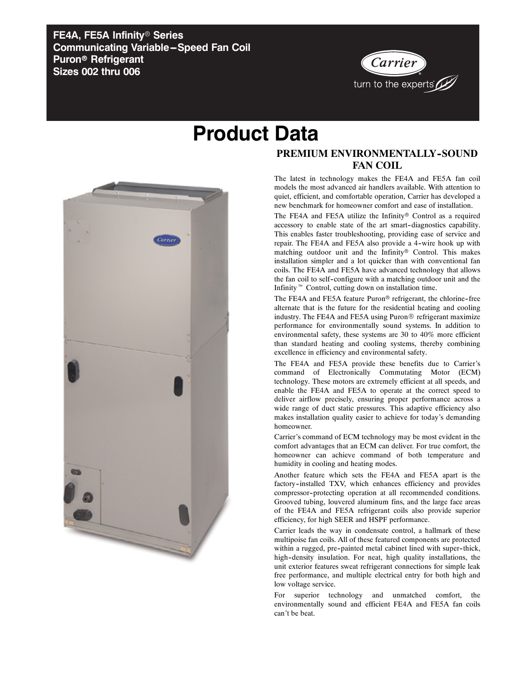**FE4A, FE5A Infinity**r **Series Communicating Variable-Speed Fan Coil Puron<sup>®</sup> Refrigerant Sizes 002 thru 006**



## **Product Data**



## **PREMIUM ENVIRONMENTALLY-SOUND FAN COIL**

The latest in technology makes the FE4A and FE5A fan coil models the most advanced air handlers available. With attention to quiet, efficient, and comfortable operation, Carrier has developed a new benchmark for homeowner comfort and ease of installation.

The FE4A and FE5A utilize the Infinity<sup>®</sup> Control as a required accessory to enable state of the art smart-diagnostics capability. This enables faster troubleshooting, providing ease of service and repair. The FE4A and FE5A also provide a 4-wire hook up with matching outdoor unit and the Infinity® Control. This makes installation simpler and a lot quicker than with conventional fan coils. The FE4A and FE5A have advanced technology that allows the fan coil to self--configure with a matching outdoor unit and the Infinity<sup> $M$ </sup> Control, cutting down on installation time.

The FE4A and FE5A feature Puron® refrigerant, the chlorine-free alternate that is the future for the residential heating and cooling industry. The FE4A and FE5A using Puron® refrigerant maximize performance for environmentally sound systems. In addition to environmental safety, these systems are 30 to 40% more efficient than standard heating and cooling systems, thereby combining excellence in efficiency and environmental safety.

The FE4A and FE5A provide these benefits due to Carrier's command of Electronically Commutating Motor (ECM) technology. These motors are extremely efficient at all speeds, and enable the FE4A and FE5A to operate at the correct speed to deliver airflow precisely, ensuring proper performance across a wide range of duct static pressures. This adaptive efficiency also makes installation quality easier to achieve for today's demanding homeowner.

Carrier's command of ECM technology may be most evident in the comfort advantages that an ECM can deliver. For true comfort, the homeowner can achieve command of both temperature and humidity in cooling and heating modes.

Another feature which sets the FE4A and FE5A apart is the factory--installed TXV, which enhances efficiency and provides compressor--protecting operation at all recommended conditions. Grooved tubing, louvered aluminum fins, and the large face areas of the FE4A and FE5A refrigerant coils also provide superior efficiency, for high SEER and HSPF performance.

Carrier leads the way in condensate control, a hallmark of these multipoise fan coils. All of these featured components are protected within a rugged, pre-painted metal cabinet lined with super-thick, high--density insulation. For neat, high quality installations, the unit exterior features sweat refrigerant connections for simple leak free performance, and multiple electrical entry for both high and low voltage service.

For superior technology and unmatched comfort, the environmentally sound and efficient FE4A and FE5A fan coils can't be beat.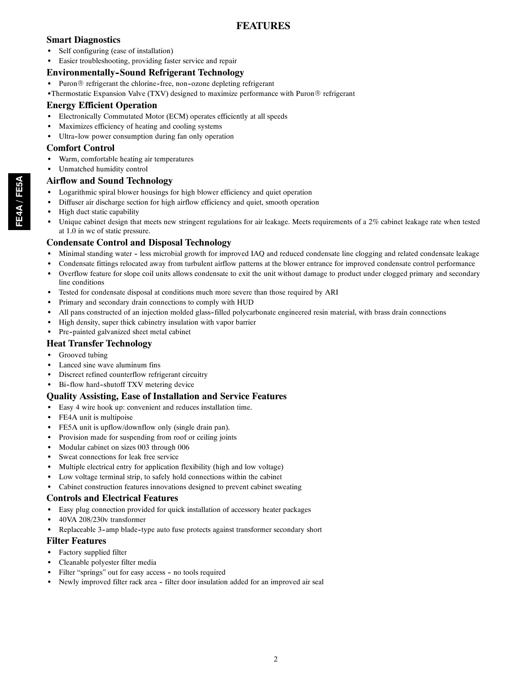## **FEATURES**

## **Smart Diagnostics**

- Self configuring (ease of installation)
- Easier troubleshooting, providing faster service and repair

## **Environmentally--Sound Refrigerant Technology**

- Puron $\circledR$  refrigerant the chlorine-free, non-ozone depleting refrigerant
- Thermostatic Expansion Valve (TXV) designed to maximize performance with Puron® refrigerant

## **Energy Efficient Operation**

- Electronically Commutated Motor (ECM) operates efficiently at all speeds
- Maximizes efficiency of heating and cooling systems
- Ultra-low power consumption during fan only operation

## **Comfort Control**

- Warm, comfortable heating air temperatures
- Unmatched humidity control

## **Airflow and Sound Technology**

- Logarithmic spiral blower housings for high blower efficiency and quiet operation
- Diffuser air discharge section for high airflow efficiency and quiet, smooth operation
- High duct static capability
- Unique cabinet design that meets new stringent regulations for air leakage. Meets requirements of a 2% cabinet leakage rate when tested at 1.0 in wc of static pressure.

## **Condensate Control and Disposal Technology**

- Minimal standing water less microbial growth for improved IAQ and reduced condensate line clogging and related condensate leakage
- Condensate fittings relocated away from turbulent airflow patterns at the blower entrance for improved condensate control performance
- Overflow feature for slope coil units allows condensate to exit the unit without damage to product under clogged primary and secondary line conditions
- Tested for condensate disposal at conditions much more severe than those required by ARI
- Primary and secondary drain connections to comply with HUD
- All pans constructed of an injection molded glass-filled polycarbonate engineered resin material, with brass drain connections
- High density, super thick cabinetry insulation with vapor barrier
- Pre-painted galvanized sheet metal cabinet

## **Heat Transfer Technology**

- Grooved tubing
- Lanced sine wave aluminum fins
- Discreet refined counterflow refrigerant circuitry
- Bi-flow hard-shutoff TXV metering device

## **Quality Assisting, Ease of Installation and Service Features**

- Easy 4 wire hook up: convenient and reduces installation time.
- FE4A unit is multipoise
- FE5A unit is upflow/downflow only (single drain pan).
- Provision made for suspending from roof or ceiling joints
- Modular cabinet on sizes 003 through 006
- Sweat connections for leak free service
- Multiple electrical entry for application flexibility (high and low voltage)
- Low voltage terminal strip, to safely hold connections within the cabinet
- Cabinet construction features innovations designed to prevent cabinet sweating

## **Controls and Electrical Features**

- Easy plug connection provided for quick installation of accessory heater packages
- 40VA 208/230v transformer
- Replaceable 3-amp blade-type auto fuse protects against transformer secondary short

## **Filter Features**

- Factory supplied filter
- Cleanable polyester filter media
- Filter "springs" out for easy access no tools required
- Newly improved filter rack area filter door insulation added for an improved air seal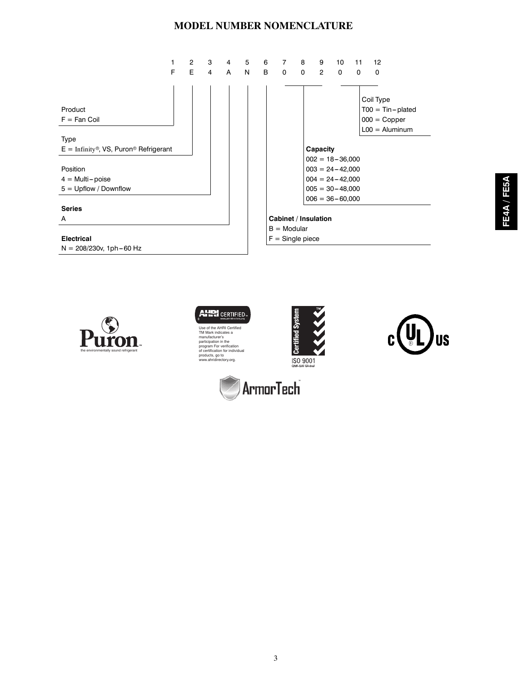## **MODEL NUMBER NOMENCLATURE**







Use of the AHRI Certified TM Mark indicates a manufacturer's participation in the program For verification of certification for individual products, go to www.ahridirectory.org.



**ArmorTech** 

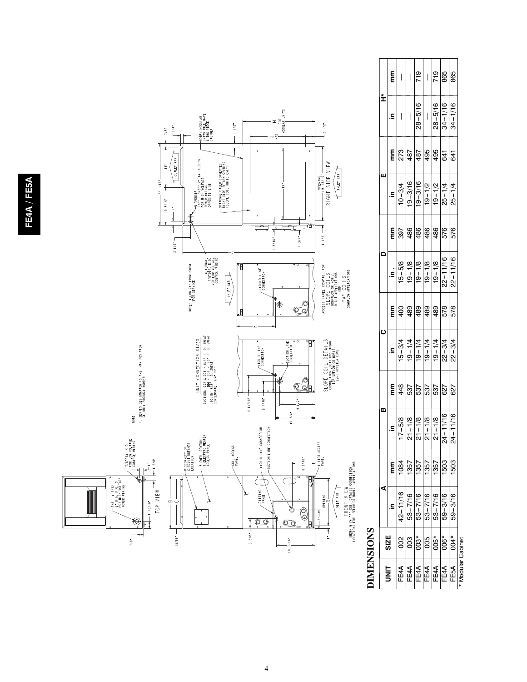

## **DIMENSIONS DIMENSIONS**

|              | E      | $\overline{\phantom{a}}$              | $\begin{array}{c} \hline \end{array}$                                                                   | 719                     | $\overline{\phantom{a}}$                                             | 719           | 865                                                | 865                    |
|--------------|--------|---------------------------------------|---------------------------------------------------------------------------------------------------------|-------------------------|----------------------------------------------------------------------|---------------|----------------------------------------------------|------------------------|
| ±            | S.     | $\begin{array}{c} \hline \end{array}$ | $\begin{array}{c} \hline \end{array}$                                                                   | $28 - 5/16$             | $\overline{\phantom{a}}$                                             |               | $\frac{28-5/16}{34-1/16}$                          |                        |
|              | m<br>E | 273                                   |                                                                                                         |                         | $rac{2}{18}$ $\frac{1}{8}$ $\frac{1}{8}$ $\frac{1}{8}$ $\frac{1}{8}$ |               |                                                    | 641                    |
| ш            | S      | $10 - 3/4$                            | $-3/16$<br>$19-$                                                                                        | 3/16<br>$\overline{19}$ | $\frac{1}{2}$<br>$19 - 1$                                            | $19 - 1/2$    | $25 - 1/4$                                         | $25 - 1/4$             |
|              | mm     | 397                                   |                                                                                                         |                         | $\frac{98}{98}$                                                      |               | 576                                                | 576                    |
| $\mathbf{a}$ | .<br>ء |                                       | $\frac{\frac{16-5/8}{1/8}}{\frac{19-1/8}{19-1/8}}$<br>$\frac{\frac{18}{19-1/8}}{\frac{19-1/8}{19-1/8}}$ | $\frac{-61}{19}$        | $\frac{1}{9}$                                                        | $\frac{1}{9}$ | 2 <sup>1</sup>                                     | 11/16<br>$\frac{1}{2}$ |
|              | mm     | 400                                   |                                                                                                         | $rac{6}{65}$            |                                                                      | 489           | 578                                                | 578                    |
| $\mathbf c$  | 르.     | $15 - 3/4$                            | $-1/4$<br>$19 -$                                                                                        |                         |                                                                      |               | $\frac{19-1/4}{19-1/4}$<br>$\frac{19-1/4}{22-3/4}$ | $22 - 3/4$             |
|              | mm     | 448                                   | 537                                                                                                     | 537                     | 537                                                                  | 537           | 627                                                | 627                    |
| m            | Ξ      | 5/8<br>$-17-$                         | $\frac{21-18}{21-18}$<br>$\frac{21-18}{21-18}$                                                          |                         |                                                                      |               | $24 - 11/16$                                       | $24 - 11/16$           |
|              | E      |                                       | 1357                                                                                                    | 1357                    | 1357                                                                 | 1357          | 503                                                | 1503                   |
| ⋖            | S      | 11/16                                 | $53 - 7/16$                                                                                             | 53-7/16                 | $53 - 7/16$                                                          | $53 - 7/16$   | $59 - 3/16$                                        | $59 - 3/16$            |
| SIZE         |        |                                       |                                                                                                         | $3^{*}$                 | 800                                                                  | $305*$        | $306*$                                             | $304*$                 |
|              |        | FE4A                                  | FE4A                                                                                                    | FE4A                    | FE4A                                                                 | FE4A          | FE4A                                               | FE5A                   |

\* Modular Cabinet \* Modular Cabinet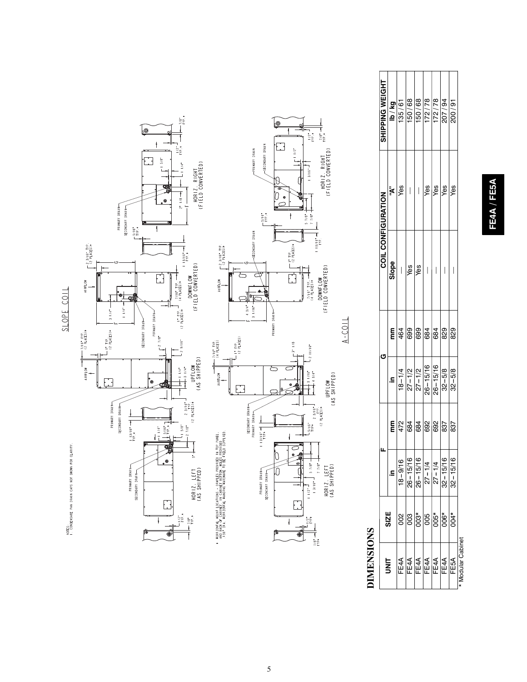

## **DIMENSIONS DIMENSIONS**

|              |                   |            |                                                                                                                               | U                                                                                                                         |                                                                                   | <b>COIL CONFIGURATION</b> |                                       |                                                                                                                                        |
|--------------|-------------------|------------|-------------------------------------------------------------------------------------------------------------------------------|---------------------------------------------------------------------------------------------------------------------------|-----------------------------------------------------------------------------------|---------------------------|---------------------------------------|----------------------------------------------------------------------------------------------------------------------------------------|
| m<br>3       | <b>SIZE</b>       | s          | E                                                                                                                             | $\overline{\mathbf{a}}$                                                                                                   | E                                                                                 | Slope                     | ଞ୍≮<br>ଜୁ                             | <b>SHIPPING WEIGHT<br/> 196 / 61<br/> 196 / 61<br/> 196 / 68<br/> 196 / 68<br/> 172 / 78<br/> 200 / 94<br/> 200 / 94<br/> 200 / 94</b> |
| FE4A         |                   | $18 - 9/1$ |                                                                                                                               |                                                                                                                           |                                                                                   | $\overline{\phantom{a}}$  |                                       |                                                                                                                                        |
| FE4A         | 800               | $26 - 15'$ | $\frac{1}{2}$ $\frac{1}{2}$ $\frac{1}{2}$ $\frac{1}{2}$ $\frac{1}{2}$ $\frac{1}{2}$ $\frac{1}{2}$ $\frac{1}{2}$ $\frac{1}{2}$ | $\begin{array}{r l} 18-1/4 \\ \hline 27-1/2 \\ \hline 27-1/2 \\ \hline 26-15/16 \\ \hline 26-15/16 \\ \hline \end{array}$ | $rac{4}{6}$ $\frac{6}{6}$ $\frac{6}{6}$ $\frac{6}{6}$ $\frac{6}{6}$ $\frac{6}{6}$ | Yes                       | $\bigg $                              |                                                                                                                                        |
| FE4A         | $\overline{0}3^*$ | $26 - 15/$ |                                                                                                                               |                                                                                                                           |                                                                                   | Yes                       | $\begin{array}{c} \hline \end{array}$ |                                                                                                                                        |
| FE4A         | 800               | $27 - 1/4$ |                                                                                                                               |                                                                                                                           |                                                                                   |                           | Yes                                   |                                                                                                                                        |
| FE4A         | $005*$            | $27 - 1/4$ |                                                                                                                               |                                                                                                                           |                                                                                   |                           | Yes                                   |                                                                                                                                        |
| FE4A         | $006*$            | $32 - 15/$ | 837                                                                                                                           | $32 - 5/8$                                                                                                                |                                                                                   |                           | Yes                                   |                                                                                                                                        |
| FE5A         | $004*$            | $32 - 15/$ | 837                                                                                                                           | $32 - 5/8$                                                                                                                | 829                                                                               |                           | yes                                   |                                                                                                                                        |
| ular Cabinet |                   |            |                                                                                                                               |                                                                                                                           |                                                                                   |                           |                                       |                                                                                                                                        |

## FE4A / FE5A **FE4A / FE5A**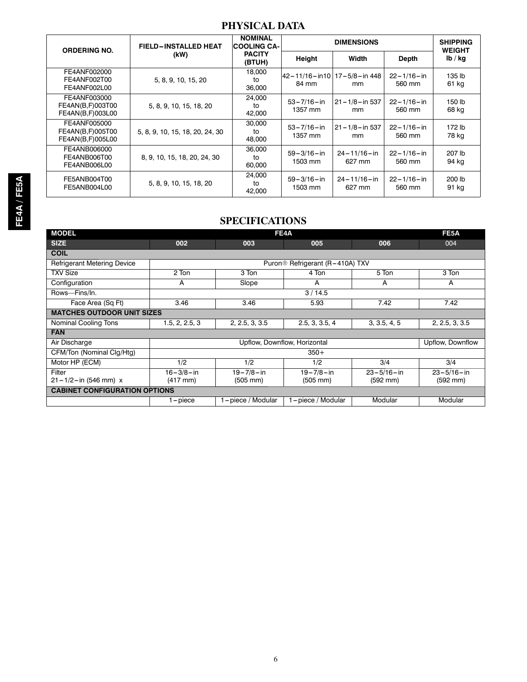## **PHYSICAL DATA**

| <b>ORDERING NO.</b>                                  | <b>FIELD-INSTALLED HEAT</b>     | <b>NOMINAL</b><br><b>COOLING CA-</b> |                                                | <b>DIMENSIONS</b>           |                            | <b>SHIPPING</b><br><b>WEIGHT</b> |
|------------------------------------------------------|---------------------------------|--------------------------------------|------------------------------------------------|-----------------------------|----------------------------|----------------------------------|
|                                                      | (kW)                            | <b>PACITY</b><br>(BTUH)              | Height                                         | Width                       | <b>Depth</b>               | lb / kq                          |
| FE4ANF002000<br>FE4ANF002T00<br>FE4ANF002L00         | 5, 8, 9, 10, 15, 20             | 18,000<br>to<br>36,000               | 42 – 11/16 – in10   17 – 5/8 – in 448<br>84 mm | mm                          | $22 - 1/16 - in$<br>560 mm | 135 lb<br>61 kg                  |
| FE4ANF003000<br>FE4AN(B,F)003T00<br>FE4AN(B,F)003L00 | 5, 8, 9, 10, 15, 18, 20         | 24,000<br>to<br>42,000               | $53 - 7/16 - in$<br>1357 mm                    | $21 - 1/8 - in 537$<br>mm   | $22 - 1/16 - in$<br>560 mm | 150 lb<br>68 kg                  |
| FE4ANF005000<br>FE4AN(B,F)005T00<br>FE4AN(B,F)005L00 | 5, 8, 9, 10, 15, 18, 20, 24, 30 | 30,000<br>to<br>48,000               | $53 - 7/16 - in$<br>1357 mm                    | $21 - 1/8 - in 537$<br>mm   | $22 - 1/16 - in$<br>560 mm | 172 lb<br>78 kg                  |
| FE4ANB006000<br>FE4ANB006T00<br>FE4ANB006L00         | 8, 9, 10, 15, 18, 20, 24, 30    | 36,000<br>to<br>60,000               | $59 - 3/16 - in$<br>1503 mm                    | $24 - 11/16 - in$<br>627 mm | $22 - 1/16 - in$<br>560 mm | 207 lb<br>94 kg                  |
| FE5ANB004T00<br>FE5ANB004L00                         | 5, 8, 9, 10, 15, 18, 20         | 24.000<br>to<br>42,000               | $59 - 3/16 - in$<br>1503 mm                    | $24 - 11/16 - in$<br>627 mm | $22 - 1/16 - in$<br>560 mm | 200 lb<br>91 kg                  |

## **SPECIFICATIONS**

| <b>MODEL</b>                         |                                                                                      |                   | FE4A                                        |                  | FE <sub>5</sub> A |  |  |  |
|--------------------------------------|--------------------------------------------------------------------------------------|-------------------|---------------------------------------------|------------------|-------------------|--|--|--|
| <b>SIZE</b>                          | 002                                                                                  | 003               | 005                                         | 006              | 004               |  |  |  |
| <b>COIL</b>                          |                                                                                      |                   |                                             |                  |                   |  |  |  |
| <b>Refrigerant Metering Device</b>   |                                                                                      |                   | Puron <sup>®</sup> Refrigerant (R-410A) TXV |                  |                   |  |  |  |
| <b>TXV Size</b>                      | 2 Ton                                                                                | 3 Ton             | 4 Ton                                       | 5 Ton            | 3 Ton             |  |  |  |
| Configuration                        | A                                                                                    | Slope             | A                                           | A                | A                 |  |  |  |
| Rows-Fins/In.                        |                                                                                      |                   | 3/14.5                                      |                  |                   |  |  |  |
| Face Area (Sq Ft)                    | 3.46                                                                                 | 3.46              | 5.93                                        | 7.42             | 7.42              |  |  |  |
| <b>MATCHES OUTDOOR UNIT SIZES</b>    |                                                                                      |                   |                                             |                  |                   |  |  |  |
| <b>Nominal Cooling Tons</b>          | 2.5, 3, 3.5, 4<br>2, 2.5, 3, 3.5<br>3, 3.5, 4, 5<br>2, 2.5, 3, 3.5<br>1.5, 2, 2.5, 3 |                   |                                             |                  |                   |  |  |  |
| <b>FAN</b>                           |                                                                                      |                   |                                             |                  |                   |  |  |  |
| Air Discharge                        |                                                                                      |                   | Upflow, Downflow, Horizontal                |                  | Upflow, Downflow  |  |  |  |
| CFM/Ton (Nominal Clg/Htg)            |                                                                                      |                   | $350+$                                      |                  |                   |  |  |  |
| Motor HP (ECM)                       | 1/2                                                                                  | 1/2               | 1/2                                         | 3/4              | 3/4               |  |  |  |
| Filter                               | $16 - 3/8 - in$                                                                      | $19 - 7/8 - in$   | $19 - 7/8 - in$                             | $23 - 5/16 - in$ | $23 - 5/16 - in$  |  |  |  |
| $21 - 1/2 - in (546$ mm) x           | (417 mm)                                                                             | (505 mm)          | (505 mm)                                    | (592 mm)         | (592 mm)          |  |  |  |
| <b>CABINET CONFIGURATION OPTIONS</b> |                                                                                      |                   |                                             |                  |                   |  |  |  |
|                                      | $1$ -piece                                                                           | 1-piece / Modular | 1-piece / Modular                           | Modular          | Modular           |  |  |  |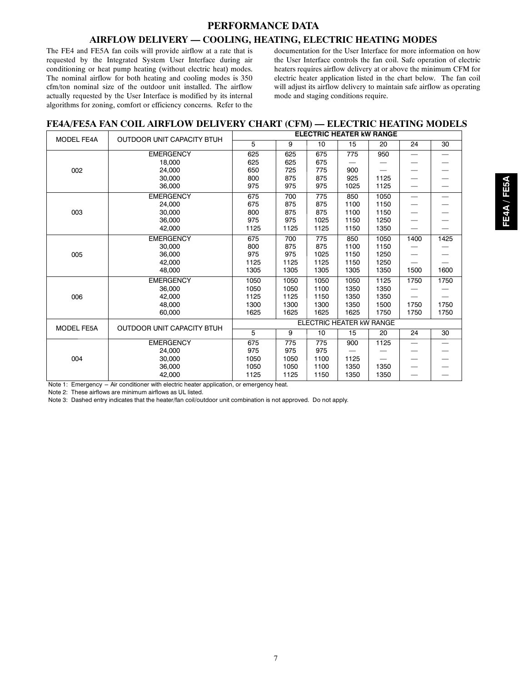## **PERFORMANCE DATA**

## **AIRFLOW DELIVERY — COOLING, HEATING, ELECTRIC HEATING MODES**

The FE4 and FE5A fan coils will provide airflow at a rate that is requested by the Integrated System User Interface during air conditioning or heat pump heating (without electric heat) modes. The nominal airflow for both heating and cooling modes is 350 cfm/ton nominal size of the outdoor unit installed. The airflow actually requested by the User Interface is modified by its internal algorithms for zoning, comfort or efficiency concerns. Refer to the

documentation for the User Interface for more information on how the User Interface controls the fan coil. Safe operation of electric heaters requires airflow delivery at or above the minimum CFM for electric heater application listed in the chart below. The fan coil will adjust its airflow delivery to maintain safe airflow as operating mode and staging conditions require.

## **FE4A/FE5A FAN COIL AIRFLOW DELIVERY CHART (CFM) — ELECTRIC HEATING MODELS**

| <b>MODEL FE4A</b> | OUTDOOR UNIT CAPACITY BTUH |      |      | <b>ELECTRIC HEATER KW RANGE</b> |      |      |                          |                          |
|-------------------|----------------------------|------|------|---------------------------------|------|------|--------------------------|--------------------------|
|                   |                            | 5    | 9    | 10                              | 15   | 20   | 24                       | 30                       |
|                   | <b>EMERGENCY</b>           | 625  | 625  | 675                             | 775  | 950  | $\equiv$                 | $\overline{\phantom{m}}$ |
|                   | 18,000                     | 625  | 625  | 675                             |      |      |                          |                          |
| 002               | 24.000                     | 650  | 725  | 775                             | 900  |      |                          |                          |
|                   | 30,000                     | 800  | 875  | 875                             | 925  | 1125 |                          |                          |
|                   | 36,000                     | 975  | 975  | 975                             | 1025 | 1125 | $\overline{\phantom{0}}$ |                          |
|                   | <b>EMERGENCY</b>           | 675  | 700  | 775                             | 850  | 1050 |                          | $\overline{\phantom{0}}$ |
|                   | 24,000                     | 675  | 875  | 875                             | 1100 | 1150 |                          |                          |
| 003               | 30,000                     | 800  | 875  | 875                             | 1100 | 1150 |                          |                          |
|                   | 36,000                     | 975  | 975  | 1025                            | 1150 | 1250 |                          |                          |
|                   | 42,000                     | 1125 | 1125 | 1125                            | 1150 | 1350 | $\overline{\phantom{0}}$ |                          |
|                   | <b>EMERGENCY</b>           | 675  | 700  | 775                             | 850  | 1050 | 1400                     | 1425                     |
|                   | 30,000                     | 800  | 875  | 875                             | 1100 | 1150 |                          |                          |
| 005               | 36,000                     | 975  | 975  | 1025                            | 1150 | 1250 |                          |                          |
|                   | 42,000                     | 1125 | 1125 | 1125                            | 1150 | 1250 |                          |                          |
|                   | 48,000                     | 1305 | 1305 | 1305                            | 1305 | 1350 | 1500                     | 1600                     |
|                   | <b>EMERGENCY</b>           | 1050 | 1050 | 1050                            | 1050 | 1125 | 1750                     | 1750                     |
|                   | 36,000                     | 1050 | 1050 | 1100                            | 1350 | 1350 |                          |                          |
| 006               | 42.000                     | 1125 | 1125 | 1150                            | 1350 | 1350 |                          |                          |
|                   | 48.000                     | 1300 | 1300 | 1300                            | 1350 | 1500 | 1750                     | 1750                     |
|                   | 60,000                     | 1625 | 1625 | 1625                            | 1625 | 1750 | 1750                     | 1750                     |
| <b>MODEL FE5A</b> | OUTDOOR UNIT CAPACITY BTUH |      |      | ELECTRIC HEATER KW RANGE        |      |      |                          |                          |
|                   |                            | 5    | 9    | 10                              | 15   | 20   | 24                       | 30                       |
|                   | <b>EMERGENCY</b>           | 675  | 775  | 775                             | 900  | 1125 | $\overline{\phantom{0}}$ | $\overline{\phantom{0}}$ |
|                   | 24.000                     | 975  | 975  | 975                             |      |      |                          |                          |
| 004               | 30,000                     | 1050 | 1050 | 1100                            | 1125 |      |                          |                          |
|                   | 36,000                     | 1050 | 1050 | 1100                            | 1350 | 1350 | —                        |                          |
|                   | 42,000                     | 1125 | 1125 | 1150                            | 1350 | 1350 |                          |                          |

Note 1: Emergency -- Air conditioner with electric heater application, or emergency heat.

Note 2: These airflows are minimum airflows as UL listed.

Note 3: Dashed entry indicates that the heater/fan coil/outdoor unit combination is not approved. Do not apply.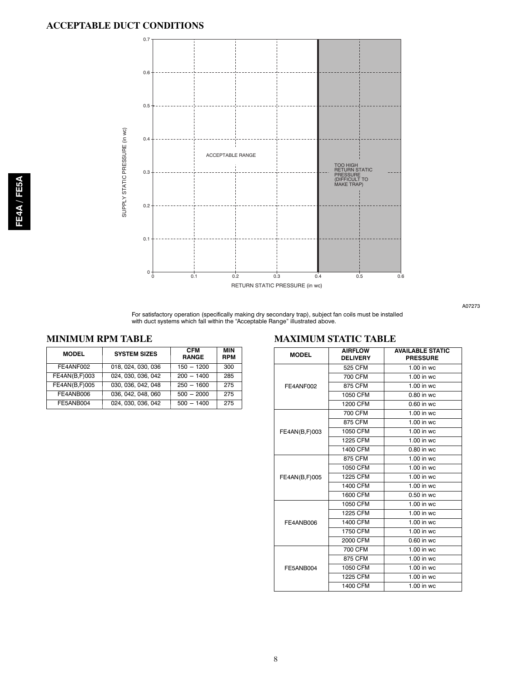

A07273

For satisfactory operation (specifically making dry secondary trap), subject fan coils must be installed with duct systems which fall within the "Acceptable Range" illustrated above.

## **MINIMUM RPM TABLE**

| <b>MODEL</b>  | <b>SYSTEM SIZES</b> | <b>CFM</b><br><b>RANGE</b> | MIN<br><b>RPM</b> |
|---------------|---------------------|----------------------------|-------------------|
| FE4ANF002     | 018, 024, 030, 036  | $150 - 1200$               | 300               |
| FE4AN(B,F)003 | 024.030.036.042     | $200 - 1400$               | 285               |
| FE4AN(B,F)005 | 030, 036, 042, 048  | $250 - 1600$               | 275               |
| FE4ANB006     | 036, 042, 048, 060  | $500 - 2000$               | 275               |
| FE5ANB004     | 024, 030, 036, 042  | $500 - 1400$               | 275               |

## **MAXIMUM STATIC TABLE**

| 525 CFM<br>$1.00$ in wc<br>700 CFM<br>1.00 in wc<br>875 CFM<br>1.00 in wc<br>FE4ANF002<br>1050 CFM<br>$0.80$ in wc<br>1200 CFM<br>0.60 in wc<br>700 CFM<br>1.00 in wc<br>875 CFM<br>1.00 in wc<br>1050 CFM<br>$1.00$ in wc<br>FE4AN(B,F)003<br>1225 CFM<br>1.00 in wc<br>1400 CFM<br>0.80 in wc<br>875 CFM<br>1.00 in wc<br>1050 CFM<br>1.00 in wc<br>1.00 in wc<br>1225 CFM<br>FE4AN(B,F)005<br>1400 CFM<br>1.00 in wc<br>1600 CFM<br>$0.50$ in wc<br>1050 CFM<br>1.00 in wc<br>1225 CFM<br>1.00 in wc<br>1400 CFM<br>1.00 in wc<br>FE4ANB006<br>1750 CFM<br>$1.00$ in wc | <b>MODEL</b> | <b>AIRFLOW</b><br><b>DELIVERY</b> | <b>AVAILABLE STATIC</b><br><b>PRESSURE</b> |
|----------------------------------------------------------------------------------------------------------------------------------------------------------------------------------------------------------------------------------------------------------------------------------------------------------------------------------------------------------------------------------------------------------------------------------------------------------------------------------------------------------------------------------------------------------------------------|--------------|-----------------------------------|--------------------------------------------|
|                                                                                                                                                                                                                                                                                                                                                                                                                                                                                                                                                                            |              |                                   |                                            |
|                                                                                                                                                                                                                                                                                                                                                                                                                                                                                                                                                                            |              |                                   |                                            |
|                                                                                                                                                                                                                                                                                                                                                                                                                                                                                                                                                                            |              |                                   |                                            |
|                                                                                                                                                                                                                                                                                                                                                                                                                                                                                                                                                                            |              |                                   |                                            |
|                                                                                                                                                                                                                                                                                                                                                                                                                                                                                                                                                                            |              |                                   |                                            |
|                                                                                                                                                                                                                                                                                                                                                                                                                                                                                                                                                                            |              |                                   |                                            |
|                                                                                                                                                                                                                                                                                                                                                                                                                                                                                                                                                                            |              |                                   |                                            |
|                                                                                                                                                                                                                                                                                                                                                                                                                                                                                                                                                                            |              |                                   |                                            |
|                                                                                                                                                                                                                                                                                                                                                                                                                                                                                                                                                                            |              |                                   |                                            |
|                                                                                                                                                                                                                                                                                                                                                                                                                                                                                                                                                                            |              |                                   |                                            |
|                                                                                                                                                                                                                                                                                                                                                                                                                                                                                                                                                                            |              |                                   |                                            |
|                                                                                                                                                                                                                                                                                                                                                                                                                                                                                                                                                                            |              |                                   |                                            |
|                                                                                                                                                                                                                                                                                                                                                                                                                                                                                                                                                                            |              |                                   |                                            |
|                                                                                                                                                                                                                                                                                                                                                                                                                                                                                                                                                                            |              |                                   |                                            |
|                                                                                                                                                                                                                                                                                                                                                                                                                                                                                                                                                                            |              |                                   |                                            |
|                                                                                                                                                                                                                                                                                                                                                                                                                                                                                                                                                                            |              |                                   |                                            |
|                                                                                                                                                                                                                                                                                                                                                                                                                                                                                                                                                                            |              |                                   |                                            |
|                                                                                                                                                                                                                                                                                                                                                                                                                                                                                                                                                                            |              |                                   |                                            |
|                                                                                                                                                                                                                                                                                                                                                                                                                                                                                                                                                                            |              |                                   |                                            |
| $0.60$ in wc                                                                                                                                                                                                                                                                                                                                                                                                                                                                                                                                                               |              | 2000 CFM                          |                                            |
| 700 CFM<br>$1.00$ in wc                                                                                                                                                                                                                                                                                                                                                                                                                                                                                                                                                    |              |                                   |                                            |
| 875 CFM<br>1.00 in wc                                                                                                                                                                                                                                                                                                                                                                                                                                                                                                                                                      |              |                                   |                                            |
| 1050 CFM<br>$1.00$ in wc<br>FE5ANB004                                                                                                                                                                                                                                                                                                                                                                                                                                                                                                                                      |              |                                   |                                            |
| 1225 CFM<br>1.00 in wc                                                                                                                                                                                                                                                                                                                                                                                                                                                                                                                                                     |              |                                   |                                            |
| 1400 CFM<br>$1.00$ in wc                                                                                                                                                                                                                                                                                                                                                                                                                                                                                                                                                   |              |                                   |                                            |

**FE4A / FE5A**

FE4A / FE5A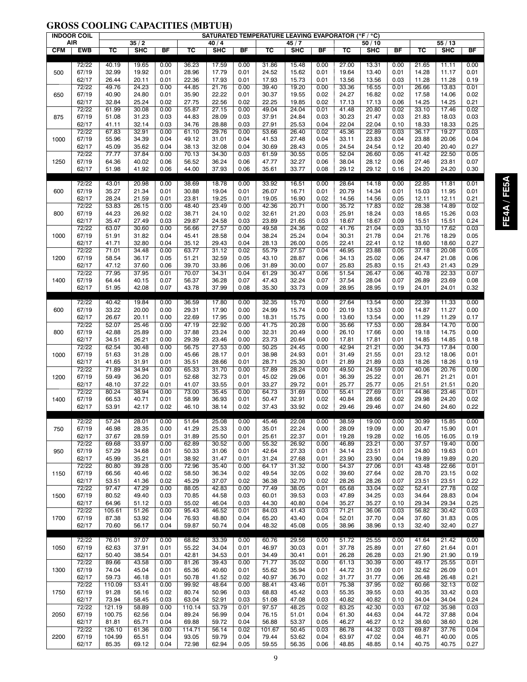## **GROSS COOLING CAPACITIES (MBTUH)**

|            | <b>INDOOR COIL</b> |                |                |              |                |                |              | SATURATED TEMPERATURE LEAVING EVAPORATOR (°F / °C) |                |              |                |                |              |                |                |              |
|------------|--------------------|----------------|----------------|--------------|----------------|----------------|--------------|----------------------------------------------------|----------------|--------------|----------------|----------------|--------------|----------------|----------------|--------------|
|            | AIR                |                | 35/2           |              |                | 40/4           |              |                                                    | 45/7           |              |                | 50/10          |              |                | 55/13          |              |
| <b>CFM</b> | <b>EWB</b>         | TC             | SHC            | <b>BF</b>    | TC             | <b>SHC</b>     | BF           | $\overline{\mathsf{r}}$                            | SHC            | BF           | TC             | SHC            | BF           | TC             | SHC            | BF           |
|            |                    |                |                |              |                |                |              |                                                    |                |              |                |                |              |                |                |              |
|            | 72/22              | 40.19<br>32.99 | 19.65          | 0.00<br>0.01 | 36.23          | 17.59<br>17.79 | 0.00         | 31.86                                              | 15.48          | 0.00<br>0.01 | 27.00<br>19.64 | 13.31          | 0.00<br>0.01 | 21.65          | 11.11          | 0.00         |
| 500        | 67/19<br>62/17     | 26.44          | 19.92<br>20.11 | 0.01         | 28.96<br>22.36 | 17.93          | 0.01<br>0.01 | 24.52<br>17.93                                     | 15.62<br>15.73 | 0.01         | 13.56          | 13.40<br>13.56 | 0.03         | 14.28<br>11.28 | 11.17<br>11.28 | 0.01<br>0.19 |
|            | 72/22              | 49.76          | 24.23          | 0.00         | 44.85          | 21.76          | 0.00         | 39.40                                              | 19.20          | 0.00         | 33.36          | 16.55          | 0.01         | 26.66          | 13.83          | 0.01         |
| 650        |                    | 40.90          |                |              |                | 22.22          |              |                                                    |                | 0.02         |                |                |              |                |                | 0.02         |
|            | 67/19              | 32.84          | 24.80          | 0.01         | 35.90          |                | 0.01         | 30.37                                              | 19.55          | 0.02         | 24.27          | 16.82          | 0.02         | 17.58          | 14.06          |              |
|            | 62/17<br>72/22     | 61.99          | 25.24<br>30.08 | 0.02<br>0.00 | 27.75<br>55.87 | 22.56<br>27.15 | 0.02<br>0.00 | 22.25<br>49.04                                     | 19.85<br>24.04 | 0.01         | 17.13<br>41.48 | 17.13<br>20.80 | 0.06<br>0.02 | 14.25<br>33.10 | 14.25          | 0.21<br>0.02 |
| 875        | 67/19              | 51.08          | 31.23          | 0.03         | 44.83          | 28.09          | 0.03         | 37.91                                              | 24.84          | 0.03         | 30.23          | 21.47          | 0.03         | 21.83          | 17.46<br>18.03 | 0.03         |
|            | 62/17              | 41.11          | 32.14          | 0.03         | 34.76          | 28.88          | 0.03         | 27.91                                              | 25.53          | 0.04         | 22.04          | 22.04          | 0.10         | 18.33          | 18.33          | 0.25         |
|            | 72/22              | 67.83          | 32.91          | 0.00         | 61.10          | 29.76          | 0.00         | 53.66                                              | 26.40          | 0.02         | 45.36          | 22.89          | 0.03         | 36.17          | 19.27          | 0.03         |
| 1000       | 67/19              | 55.96          | 34.39          | 0.04         | 49.12          | 31.01          | 0.04         | 41.53                                              | 27.48          | 0.04         | 33.11          | 23.83          | 0.04         | 23.88          | 20.06          | 0.04         |
|            | 62/17              | 45.09          | 35.62          | 0.04         | 38.13          | 32.08          | 0.04         | 30.69                                              | 28.43          | 0.05         | 24.54          | 24.54          | 0.12         | 20.40          | 20.40          | 0.27         |
|            | 72/22              | 77.77          | 37.84          | 0.00         | 70.13          | 34.30          | 0.03         | 61.59                                              | 30.55          | 0.05         | 52.04          | 26.60          | 0.05         | 41.42          | 22.50          | 0.05         |
| 1250       | 67/19              | 64.36          | 40.02          | 0.06         | 56.52          | 36.24          | 0.06         | 47.77                                              | 32.27          | 0.06         | 38.04          | 28.12          | 0.06         | 27.46          | 23.81          | 0.07         |
|            | 62/17              | 51.98          | 41.92          | 0.06         | 44.00          | 37.93          | 0.06         | 35.61                                              | 33.77          | 0.08         | 29.12          | 29.12          | 0.16         | 24.20          | 24.20          | 0.30         |
|            |                    |                |                |              |                |                |              |                                                    |                |              |                |                |              |                |                |              |
|            | 72/22              | 43.01          | 20.98          | 0.00         | 38.69          | 18.78          | 0.00         | 33.92                                              | 16.51          | 0.00         | 28.64          | 14.18          | 0.00         | 22.85          | 11.81          | 0.01         |
| 600        | 67/19              | 35.27          | 21.34          | 0.01         | 30.88          | 19.04          | 0.01         | 26.07                                              | 16.71          | 0.01         | 20.79          | 14.34          | 0.01         | 15.03          | 11.95          | 0.01         |
|            | 62/17              | 28.24          | 21.59          | 0.01         | 23.81          | 19.25          | 0.01         | 19.05                                              | 16.90          | 0.02         | 14.56          | 14.56          | 0.05         | 12.11          | 12.11          | 0.21         |
|            | 72/22              | 53.83          | 26.15          | 0.00         | 48.40          | 23.49          | 0.00         | 42.36                                              | 20.71          | 0.00         | 35.72          | 17.83          | 0.02         | 28.38          | 14.89          | 0.02         |
| 800        | 67/19              | 44.23          | 26.92          | 0.02         | 38.71          | 24.10          | 0.02         | 32.61                                              | 21.20          | 0.03         | 25.91          | 18.24          | 0.03         | 18.65          | 15.26          | 0.03         |
|            | 62/17              | 35.47          | 27.49          | 0.03         | 29.87          | 24.58          | 0.03         | 23.89                                              | 21.65          | 0.03         | 18.67          | 18.67          | 0.09         | 15.51          | 15.51          | 0.24         |
|            | 72/22              | 63.07          | 30.60          | 0.00         | 56.66          | 27.57          | 0.00         | 49.58                                              | 24.36          | 0.02         | 41.76          | 21.04          | 0.03         | 33.10          | 17.62          | 0.03         |
| 1000       | 67/19              | 51.91          | 31.82          | 0.04         | 45.41          | 28.58          | 0.04         | 38.24                                              | 25.24          | 0.04         | 30.31          | 21.78          | 0.04         | 21.76          | 18.29          | 0.05         |
|            | 62/17              | 41.71          | 32.80          | 0.04         | 35.12          | 29.43          | 0.04         | 28.13                                              | 26.00          | 0.05         | 22.41          | 22.41          | 0.12         | 18.60          | 18.60          | 0.27         |
|            | 72/22              | 71.01          | 34.48          | 0.00         | 63.77          | 31.12          | 0.02         | 55.79                                              | 27.57          | 0.04         | 46.95          | 23.88          | 0.05         | 37.18          | 20.08          | 0.05         |
| 1200       | 67/19              | 58.54          | 36.17          | 0.05         | 51.21          | 32.59          | 0.05         | 43.10                                              | 28.87          | 0.06         | 34.13          | 25.02          | 0.06         | 24.47          | 21.08          | 0.06         |
|            | 62/17              | 47.12          | 37.60          | 0.06         | 39.70          | 33.86          | 0.06         | 31.89                                              | 30.00          | 0.07         | 25.83          | 25.83          | 0.15         | 21.43          | 21.43          | 0.29         |
|            | 72/22              | 77.95          | 37.95          | 0.01         | 70.07          | 34.31          | 0.04         | 61.29                                              | 30.47          | 0.06         | 51.54          | 26.47          | 0.06         | 40.78          | 22.33          | 0.07         |
| 1400       | 67/19              | 64.44          | 40.15          | 0.07         | 56.37          | 36.28          | 0.07         | 47.43                                              | 32.24          | 0.07         | 37.54          | 28.04          | 0.07         | 26.89          | 23.69          | 0.08         |
|            | 62/17              | 51.95          | 42.08          | 0.07         | 43.78          | 37.99          | 0.08         | 35.30                                              | 33.73          | 0.09         | 28.95          | 28.95          | 0.19         | 24.01          | 24.01          | 0.32         |
|            |                    |                |                |              |                |                |              |                                                    |                |              |                |                |              |                |                |              |
|            | 72/22              | 40.42          | 19.84          | 0.00         | 36.59          | 17.80          | 0.00         | 32.35                                              | 15.70          | 0.00         | 27.64          | 13.54          | 0.00         | 22.39          | 11.33          | 0.00         |
| 600        | 67/19              | 33.22          | 20.00          | 0.00         | 29.31          | 17.90          | 0.00         | 24.99                                              | 15.74          | 0.00         | 20.19          | 13.53          | 0.00         | 14.87          | 11.27          | 0.00         |
|            | 62/17              | 26.67          | 20.11          | 0.00         | 22.69          | 17.95          | 0.00         | 18.31                                              | 15.75          | 0.00         | 13.60          | 13.54          | 0.00         | 11.29          | 11.29          | 0.17         |
|            | 72/22              | 52.07          | 25.46          | 0.00         | 47.19          | 22.92          | 0.00         | 41.75                                              | 20.28          | 0.00         | 35.66          | 17.53          | 0.00         | 28.84          | 14.70          | 0.00         |
| 800        | 67/19              | 42.88          | 25.89          | 0.00         | 37.88          | 23.24          | 0.00         | 32.31                                              | 20.49          | 0.00         | 26.10          | 17.66          | 0.00         | 19.18          | 14.75          | 0.00         |
|            | 62/17              | 34.51          | 26.21          | 0.00         | 29.39          | 23.46          | 0.00         | 23.73                                              | 20.64          | 0.00         | 17.81          | 17.81          | 0.01         | 14.85          | 14.85          | 0.18         |
|            | 72/22              | 62.54          | 30.48          | 0.00         | 56.75          | 27.53          | 0.00         | 50.25                                              | 24.45          | 0.00         | 42.94          | 21.21          | 0.00         | 34.73          | 17.84          | 0.00         |
| 1000       | 67/19              | 51.63          | 31.28          | 0.00         | 45.66          | 28.17          | 0.01         | 38.98                                              | 24.93          | 0.01         | 31.49          | 21.55          | 0.01         | 23.12          | 18.06          | 0.01         |
|            | 62/17              | 41.65          | 31.91          | 0.01         | 35.51          | 28.66          | 0.01         | 28.71                                              | 25.30          | 0.01         | 21.89          | 21.89          | 0.03         | 18.26          | 18.26          | 0.19         |
|            | 72/22              | 71.89          | 34.94          | 0.00         | 65.33          | 31.70          | 0.00         | 57.89                                              | 28.24          | 0.00         | 49.50          | 24.59          | 0.00         | 40.06          | 20.76          | 0.00         |
| 1200       | 67/19              | 59.49          | 36.20          | 0.01         | 52.68          | 32.73          | 0.01         | 45.02                                              | 29.06          | 0.01         | 36.39          | 25.22          | 0.01         | 26.71          | 21.21          | 0.01         |
|            | 62/17              | 48.10          | 37.22          | 0.01         | 41.07          | 33.55          | 0.01         | 33.27                                              | 29.72          | 0.01         | 25.77          | 25.77          | 0.05         | 21.51          | 21.51          | 0.20         |
|            | 72/22              | 80.24          | 38.94          | 0.00         | 73.00          | 35.45          | 0.00         | 64.73                                              | 31.69          | 0.00         | 55.41          | 27.69          | 0.01         | 44.86          | 23.46          | 0.01         |
| 1400       | 67/19              | 66.53          | 40.71          | 0.01         | 58.99          | 36.93          | 0.01         | 50.47                                              | 32.91          | 0.02         | 40.84          | 28.66          | 0.02         | 29.98          | 24.20          | 0.02         |
|            | 62/17              | 53.91          | 42.17          | 0.02         | 46.10          | 38.14          | 0.02         | 37.43                                              | 33.92          | 0.02         | 29.46          | 29.46          | 0.07         | 24.60          | 24.60          | 0.22         |
|            | 72/22              | 57.24          | 28.01          | 0.00         | 51.64          | 25.08          | 0.00         | 45.46                                              | 22.08          | 0.00         | 38.59          | 19.00          | 0.00         | 30.99          | 15.85          | 0.00         |
| 750        | 67/19              | 46.98          | 28.35          | 0.00         | 41.29          | 25.33          | 0.00         | 35.01                                              | 22.24          | 0.00         | 28.09          | 19.09          | 0.00         | 20.47          | 15.90          | 0.01         |
|            | 62/17              | 37.67          | 28.59          | 0.01         | 31.89          | 25.50          | 0.01         | 25.61                                              | 22.37          | 0.01         | 19.28          | 19.28          | 0.02         | 16.05          | 16.05          | 0.19         |
|            | 72/22              | 69.68          | 33.97          | 0.00         | 62.89          | 30.52          | 0.00         | 55.32                                              | 26.92          | 0.00         | 46.89          | 23.21          | 0.00         | 37.57          | 19.40          | 0.00         |
| 950        | 67/19              | 57.29          | 34.68          | 0.01         | 50.33          | 31.06          | 0.01         | 42.64                                              | 27.33          | 0.01         | 34.14          | 23.51          | 0.01         | 24.80          | 19.63          | 0.01         |
|            | 62/17              | 45.99          | 35.21          | 0.01         | 38.92          | 31.47          | 0.01         | 31.24                                              | 27.68          | 0.01         | 23.90          | 23.90          | 0.04         | 19.89          | 19.89          | 0.20         |
|            | 72/22              | 80.80          | 39.28          | 0.00         | 72.96          | 35.40          | 0.00         | 64.17                                              | 31.32          | 0.00         | 54.37          | 27.06          | 0.01         | 43.48          | 22.66          | 0.01         |
| 1150       | 67/19              | 66.56          | 40.46          | 0.02         | 58.50          | 36.34          | 0.02         | 49.54                                              | 32.05          | 0.02         | 39.60          | 27.64          | 0.02         | 28.70          | 23.15          | 0.02         |
|            | 62/17              | 53.51          | 41.36          | 0.02         | 45.29          | 37.07          | 0.02         | 36.38                                              | 32.70          | 0.02         | 28.26          | 28.26          | 0.07         | 23.51          | 23.51          | 0.22         |
|            | 72/22              | 97.47          | 47.29          | 0.00         | 88.05          | 42.83          | 0.00         | 77.49                                              | 38.05          | 0.01         | 65.68          | 33.04          | 0.02         | 52.41          | 27.78          | 0.02         |
| 1500       | 67/19              | 80.52          | 49.40          | 0.03         | 70.85          | 44.58          | 0.03         | 60.01                                              | 39.53          | 0.03         | 47.89          | 34.25          | 0.03         | 34.64          | 28.83          | 0.04         |
|            | 62/17              | 64.96          | 51.12          | 0.03         | 55.02          | 46.04          | 0.03         | 44.30                                              | 40.80          | 0.04         | 35.27          | 35.27          | 0.10         | 29.34          | 29.34          | 0.25         |
|            | 72/22              | 105.61         | 51.26          | 0.00         | 95.43          | 46.52          | 0.01         | 84.03                                              | 41.43          | 0.03         | 71.21          | 36.06          | 0.03         | 56.82          | 30.42          | 0.03         |
| 1700       | 67/19              | 87.38          | 53.92          | 0.04         | 76.93          | 48.80          | 0.04         | 65.20                                              | 43.40          | 0.04         | 52.01          | 37.70          | 0.04         | 37.60          | 31.83          | 0.05         |
|            | 62/17              | 70.60          | 56.17          | 0.04         | 59.87          | 50.74          | 0.04         | 48.32                                              | 45.08          | 0.05         | 38.96          | 38.96          | 0.13         | 32.40          | 32.40          | 0.27         |
|            |                    |                |                |              |                |                |              |                                                    |                |              |                |                |              |                |                |              |
|            | 72/22              | 76.01          | 37.07          | 0.00         | 68.82          | 33.39          | 0.00         | 60.76                                              | 29.56          | 0.00         | 51.72          | 25.55          | 0.00         | 41.64          | 21.42          | 0.00         |
| 1050       | 67/19              | 62.63          | 37.91          | 0.01         | 55.22          | 34.04          | 0.01         | 46.97                                              | 30.03          | 0.01         | 37.78          | 25.89          | 0.01         | 27.60          | 21.64          | 0.01         |
|            | 62/17              | 50.40          | 38.54          | 0.01         | 42.81          | 34.53          | 0.01         | 34.49                                              | 30.41          | 0.01         | 26.28          | 26.28          | 0.03         | 21.90          | 21.90          | 0.19         |
|            | 72/22              | 89.66          | 43.58          | 0.00         | 81.26          | 39.43          | 0.00         | 71.77                                              | 35.02          | 0.00         | 61.13          | 30.39          | 0.00         | 49.17          | 25.55          | 0.01         |
| 1300       | 67/19              | 74.04          | 45.04          | 0.01         | 65.36          | 40.60          | 0.01         | 55.62                                              | 35.94          | 0.01         | 44.72          | 31.09          | 0.01         | 32.62          | 26.09          | 0.01         |
|            | 62/17              | 59.73          | 46.18          | 0.01         | 50.78          | 41.52          | 0.02         | 40.97                                              | 36.70          | 0.02         | 31.77          | 31.77          | 0.06         | 26.48          | 26.48          | 0.21         |
|            | 72/22              | 110.09         | 53.41          | 0.00         | 99.92          | 48.64          | 0.00         | 88.41                                              | 43.46          | 0.01         | 75.38          | 37.95          | 0.02         | 60.66          | 32.13          | 0.02         |
| 1750       | 67/19              | 91.28          | 56.16          | 0.02         | 80.74          | 50.96          | 0.03         | 68.83                                              | 45.42          | 0.03         | 55.35          | 39.55          | 0.03         | 40.35          | 33.42          | 0.03         |
|            | 62/17              | 73.94          | 58.45          | 0.03         | 63.04          | 52.91          | 0.03         | 51.08                                              | 47.08          | 0.03         | 40.82          | 40.82          | 0.10         | 34.04          | 34.04          | 0.24         |
|            | 72/22              | 121.19         | 58.89          | 0.00         | 110.14         | 53.79          | 0.01         | 97.57                                              | 48.25          | 0.02         | 83.25          | 42.30          | 0.03         | 67.02          | 35.98          | 0.03         |
| 2050       | 67/19              | 100.75         | 62.56          | 0.04         | 89.24          | 56.99          | 0.04         | 76.15                                              | 51.01          | 0.04         | 61.30          | 44.63          | 0.04         | 44.72          | 37.88          | 0.04         |
|            | 62/17              | 81.81          | 65.71          | 0.04         | 69.88          | 59.72          | 0.04         | 56.88                                              | 53.37          | 0.05         | 46.27          | 46.27          | 0.12         | 38.60          | 38.60          | 0.26         |
|            | 72/22              | 126.10         | 61.36          | 0.00         | 114.71         | 56.14          | 0.02         | 101.67                                             | 50.45          | 0.03         | 86.78          | 44.32          | 0.03         | 69.87          | 37.76          | 0.04         |
| 2200       | 67/19              | 104.99         | 65.51          | 0.04         | 93.05          | 59.79          | 0.04         | 79.44                                              | 53.62          | 0.04         | 63.97          | 47.02          | 0.04         | 46.71          | 40.00          | 0.05         |
|            | 62/17              | 85.35          | 69.12          | 0.04         | 72.98          | 62.94          | 0.05         | 59.55                                              | 56.35          | 0.06         | 48.85          | 48.85          | 0.14         | 40.75          | 40.75          | 0.27         |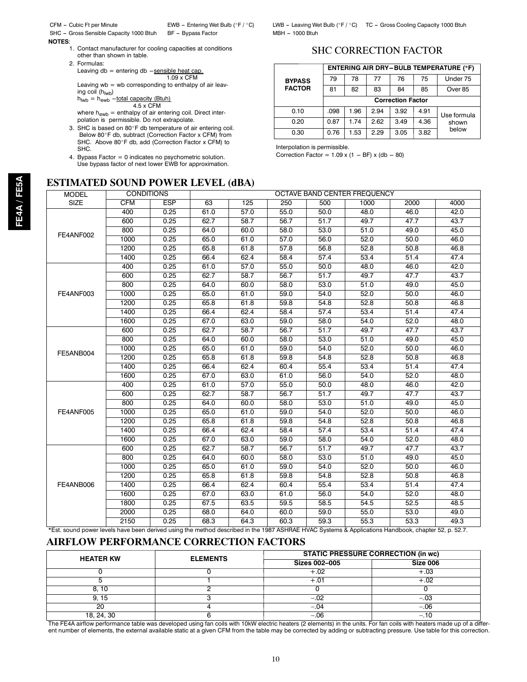SHC -- Gross Sensible Capacity 1000 Btuh BF -- Bypass Factor

**NOTES**:

1. Contact manufacturer for cooling capacities at conditions other than shown in table.

2. Formulas:

Leaving  $db =$  entering  $db -$ sensible heat cap. 1.09 x CFM

Leaving wb = wb corresponding to enthalpy of air leav-<br>ing coil (h<sub>lwb</sub>)

$$
h_{\text{Iwb}} = h_{\text{ewb}} - \frac{\text{total capacity (Btuh)}}{4.5 \times \text{CFM}}
$$

4.5 x CFM where  $h_{\text{ewb}}$  = enthalpy of air entering coil. Direct interpolation is permissible. Do not extrapolate.

- 3. SHC is based on 80°F db temperature of air entering coil. Below 80°F db, subtract (Correction Factor x CFM) from SHC. Above 80<sup>o</sup>F db, add (Correction Factor x CFM) to SHC.
- 4. Bypass Factor = 0 indicates no psychometric solution. Use bypass factor of next lower EWB for approximation.

## **ESTIMATED SOUND POWER LEVEL (dBA)**

CFM -- Cubic Ft per Minute EWB --- Entering Wet Bulb (°F / °C) LWB -- Leaving Wet Bulb (°F / °C) TC -- Gross Cooling Capacity 1000 Btuh<br>SHC -- Gross Sensible Capacity 1000 Btuh BF -- Bypass Factor MBH -- 1000 Btuh

## SHC CORRECTION FACTOR

|               |      |      |      |                          |      | <b>ENTERING AIR DRY-BULB TEMPERATURE (°F)</b> |
|---------------|------|------|------|--------------------------|------|-----------------------------------------------|
| <b>BYPASS</b> | 79   | 78   | 77   | 76                       | 75   | Under 75                                      |
| <b>FACTOR</b> | 81   | 82   | 83   | 84                       | 85   | Over 85                                       |
|               |      |      |      | <b>Correction Factor</b> |      |                                               |
| 0.10          | .098 | 1.96 | 2.94 | 3.92                     | 4.91 | Use formula                                   |
| 0.20          | 0.87 | 1.74 | 2.62 | 3.49                     | 4.36 | shown                                         |
| 0.30          | 0.76 | 1.53 | 2.29 | 3.05                     | 3.82 | below                                         |

Interpolation is permissible.

Correction Factor =  $1.09 \times (1 - BF) \times (db - 80)$ 

| <b>ESP</b><br>0.25<br>0.25<br>0.25<br>0.25<br>0.25<br>0.25 | 63<br>61.0<br>62.7<br>64.0<br>65.0<br>65.8 | 125<br>57.0<br>58.7<br>60.0<br>61.0 | 250<br>55.0<br>56.7<br>58.0 | 500<br>50.0<br>51.7 | 1000<br>48.0<br>49.7 | 2000<br>46.0 | 4000<br>42.0                                                                                                                                        |
|------------------------------------------------------------|--------------------------------------------|-------------------------------------|-----------------------------|---------------------|----------------------|--------------|-----------------------------------------------------------------------------------------------------------------------------------------------------|
|                                                            |                                            |                                     |                             |                     |                      |              |                                                                                                                                                     |
|                                                            |                                            |                                     |                             |                     |                      |              |                                                                                                                                                     |
|                                                            |                                            |                                     |                             |                     |                      | 47.7         | 43.7                                                                                                                                                |
|                                                            |                                            |                                     |                             | 53.0                | 51.0                 | 49.0         | 45.0                                                                                                                                                |
|                                                            |                                            |                                     | 57.0                        | 56.0                | 52.0                 | 50.0         | 46.0                                                                                                                                                |
|                                                            |                                            | 61.8                                | 57.8                        | 56.8                | 52.8                 | 50.8         | 46.8                                                                                                                                                |
|                                                            | 66.4                                       | 62.4                                | 58.4                        | 57.4                | 53.4                 | 51.4         | 47.4                                                                                                                                                |
| 0.25                                                       | 61.0                                       | 57.0                                | 55.0                        | 50.0                | 48.0                 | 46.0         | 42.0                                                                                                                                                |
| 0.25                                                       | 62.7                                       | 58.7                                | 56.7                        | 51.7                | 49.7                 | 47.7         | 43.7                                                                                                                                                |
| 0.25                                                       | 64.0                                       | 60.0                                | 58.0                        | 53.0                | 51.0                 | 49.0         | 45.0                                                                                                                                                |
| 0.25                                                       | 65.0                                       | 61.0                                | 59.0                        | 54.0                | 52.0                 | 50.0         | 46.0                                                                                                                                                |
| 0.25                                                       | 65.8                                       | 61.8                                | 59.8                        | 54.8                | 52.8                 | 50.8         | 46.8                                                                                                                                                |
| 0.25                                                       | 66.4                                       | 62.4                                | 58.4                        | 57.4                | 53.4                 | 51.4         | 47.4                                                                                                                                                |
| 0.25                                                       | 67.0                                       | 63.0                                | 59.0                        | 58.0                | 54.0                 | 52.0         | 48.0                                                                                                                                                |
| 0.25                                                       | 62.7                                       | 58.7                                | 56.7                        | 51.7                | 49.7                 | 47.7         | 43.7                                                                                                                                                |
| 0.25                                                       | 64.0                                       | 60.0                                | 58.0                        | 53.0                | 51.0                 | 49.0         | 45.0                                                                                                                                                |
| 0.25                                                       | 65.0                                       | 61.0                                | 59.0                        | 54.0                | 52.0                 | 50.0         | 46.0                                                                                                                                                |
| 0.25                                                       | 65.8                                       | 61.8                                | 59.8                        | 54.8                | 52.8                 | 50.8         | 46.8                                                                                                                                                |
| 0.25                                                       | 66.4                                       | 62.4                                | 60.4                        | 55.4                | 53.4                 | 51.4         | 47.4                                                                                                                                                |
| 0.25                                                       | 67.0                                       | 63.0                                | 61.0                        | 56.0                | 54.0                 | 52.0         | 48.0                                                                                                                                                |
| 0.25                                                       | 61.0                                       | 57.0                                | 55.0                        | 50.0                | 48.0                 | 46.0         | 42.0                                                                                                                                                |
| 0.25                                                       | 62.7                                       | 58.7                                | 56.7                        | 51.7                | 49.7                 | 47.7         | 43.7                                                                                                                                                |
| 0.25                                                       | 64.0                                       | 60.0                                | 58.0                        | 53.0                | 51.0                 | 49.0         | 45.0                                                                                                                                                |
| 0.25                                                       | 65.0                                       | 61.0                                | 59.0                        | 54.0                | 52.0                 | 50.0         | 46.0                                                                                                                                                |
| 0.25                                                       | 65.8                                       | 61.8                                | 59.8                        | 54.8                | 52.8                 | 50.8         | 46.8                                                                                                                                                |
| 0.25                                                       | 66.4                                       | 62.4                                | 58.4                        | 57.4                | 53.4                 | 51.4         | 47.4                                                                                                                                                |
| 0.25                                                       | 67.0                                       | 63.0                                | 59.0                        | 58.0                | 54.0                 | 52.0         | 48.0                                                                                                                                                |
| 0.25                                                       | 62.7                                       | 58.7                                | 56.7                        | 51.7                | 49.7                 | 47.7         | 43.7                                                                                                                                                |
| 0.25                                                       | 64.0                                       | 60.0                                | 58.0                        | 53.0                | 51.0                 | 49.0         | 45.0                                                                                                                                                |
| 0.25                                                       | 65.0                                       | 61.0                                | 59.0                        | 54.0                | 52.0                 | 50.0         | 46.0                                                                                                                                                |
| 0.25                                                       | 65.8                                       | 61.8                                | 59.8                        | 54.8                | 52.8                 | 50.8         | 46.8                                                                                                                                                |
| 0.25                                                       | 66.4                                       | 62.4                                | 60.4                        | 55.4                | 53.4                 | 51.4         | 47.4                                                                                                                                                |
| 0.25                                                       | 67.0                                       | 63.0                                | 61.0                        | 56.0                | 54.0                 | 52.0         | 48.0                                                                                                                                                |
| 0.25                                                       | 67.5                                       | 63.5                                | 59.5                        | 58.5                | 54.5                 | 52.5         | 48.5                                                                                                                                                |
| 0.25                                                       | 68.0                                       | 64.0                                | 60.0                        | 59.0                | 55.0                 | 53.0         | 49.0                                                                                                                                                |
| 0.25                                                       | 68.3                                       | 64.3                                | 60.3                        | 59.3                | 55.3                 | 53.3         | 49.3                                                                                                                                                |
|                                                            |                                            |                                     |                             |                     |                      |              | *Est. sound power levels have been derived using the method described in the 1987 ASHRAE HVAC Systems & Applications Handbook, chapter 52, p. 52.7. |

## **AIRFLOW PERFORMANCE CORRECTION FACTORS**

| <b>HEATER KW</b> | <b>ELEMENTS</b> | <b>STATIC PRESSURE CORRECTION (in wc)</b> |          |
|------------------|-----------------|-------------------------------------------|----------|
|                  |                 | <b>Sizes 002-005</b>                      | Size 006 |
|                  |                 | $+.02$                                    | $+.03$   |
|                  |                 | +.01                                      | +.02     |
| 8.10             |                 |                                           |          |
| 9.15             |                 | $-.02$                                    | $-.03$   |
| 20               |                 | $-.04$                                    | $-.06$   |
| 18, 24, 30       |                 | -.06                                      |          |

The FE4A airflow performance table was developed using fan coils with 10kW electric heaters (2 elements) in the units. For fan coils with heaters made up of a different number of elements, the external available static at a given CFM from the table may be corrected by adding or subtracting pressure. Use table for this correction.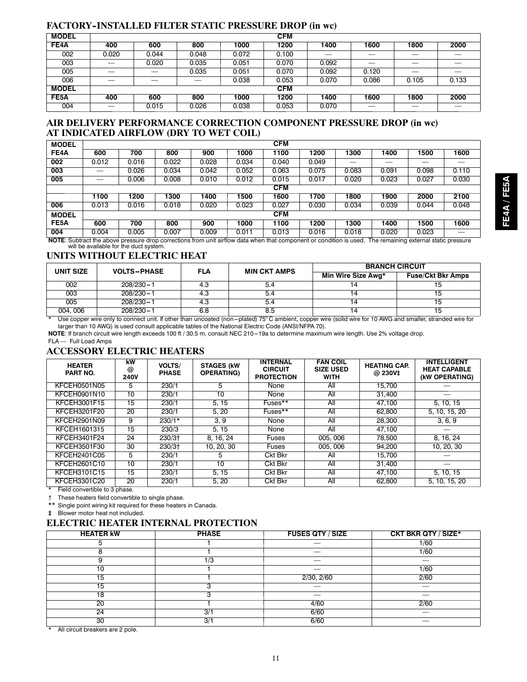## **FACTORY--INSTALLED FILTER STATIC PRESSURE DROP (in wc)**

| <b>MODEL</b> |       |       |       |       | <b>CFM</b> |                          |        |                          |                   |
|--------------|-------|-------|-------|-------|------------|--------------------------|--------|--------------------------|-------------------|
| FE4A         | 400   | 600   | 800   | 1000  | 1200       | 1400                     | 1600   | 1800                     | 2000              |
| 002          | 0.020 | 0.044 | 0.048 | 0.072 | 0.100      | $\overline{\phantom{a}}$ | ---    | $\overline{\phantom{a}}$ | $\sim$            |
| 003          | --    | 0.020 | 0.035 | 0.051 | 0.070      | 0.092                    | $\sim$ | $\overline{\phantom{a}}$ | and the control   |
| 005          | --    | __    | 0.035 | 0.051 | 0.070      | 0.092                    | 0.120  | $\overline{\phantom{a}}$ | <b>STATISTICS</b> |
| 006          | __    |       | --    | 0.038 | 0.053      | 0.070                    | 0.086  | 0.105                    | 0.133             |
| <b>MODEL</b> |       |       |       |       | <b>CFM</b> |                          |        |                          |                   |
| FE5A         | 400   | 600   | 800   | 1000  | 1200       | 1400                     | 1600   | 1800                     | 2000              |
| 004          | __    | 0.015 | 0.026 | 0.038 | 0.053      | 0.070                    | __     | __                       |                   |

## **AIR DELIVERY PERFORMANCE CORRECTION COMPONENT PRESSURE DROP (in wc) AT INDICATED AIRFLOW (DRY TO WET COIL)**

| <b>MODEL</b>      |       |                                                                              |       |       |       | <b>CFM</b> |                                                                                                                    |       |                                        |       |       |
|-------------------|-------|------------------------------------------------------------------------------|-------|-------|-------|------------|--------------------------------------------------------------------------------------------------------------------|-------|----------------------------------------|-------|-------|
| FE4A              | 600   | 700                                                                          | 800   | 900   | 1000  | 1100       | 1200                                                                                                               | 1300  | 1400                                   | 1500  | 1600  |
| 002               | 0.012 | 0.016                                                                        | 0.022 | 0.028 | 0.034 | 0.040      | 0.049                                                                                                              |       |                                        |       |       |
| 003               |       | 0.026                                                                        | 0.034 | 0.042 | 0.052 | 0.063      | 0.075                                                                                                              | 0.083 | 0.091                                  | 0.098 | 0.110 |
| 005               |       | 0.006                                                                        | 0.008 | 0.010 | 0.012 | 0.015      | 0.017                                                                                                              | 0.020 | 0.023                                  | 0.027 | 0.030 |
|                   |       | <b>CFM</b>                                                                   |       |       |       |            |                                                                                                                    |       |                                        |       |       |
|                   | 1100  | 1200<br>1600<br>2000<br>2100<br>1300<br>1400<br>1500<br>1700<br>1800<br>1900 |       |       |       |            |                                                                                                                    |       |                                        |       |       |
| 006               | 0.013 | 0.016                                                                        | 0.018 | 0.020 | 0.023 | 0.027      | 0.030                                                                                                              | 0.034 | 0.039                                  | 0.044 | 0.048 |
| <b>MODEL</b>      |       |                                                                              |       |       |       | <b>CFM</b> |                                                                                                                    |       |                                        |       |       |
| FE <sub>5</sub> A | 600   | 700                                                                          | 800   | 900   | 1000  | 1100       | 1200                                                                                                               | 1300  | 1400                                   | 1500  | 1600  |
| 004               | 0.004 | 0.005                                                                        | 0.007 | 0.009 | 0.011 | 0.013      | 0.016                                                                                                              | 0.018 | 0.020                                  | 0.023 |       |
|                   |       |                                                                              |       |       |       |            | NOTE: Subtract the above pressure drop corrections from unit airflow data when that component or condition is used |       | The remaining external static pressure |       |       |

**NOTE**: Subtract the above pressure drop corrections from unit airflow data when that component or condition is used. The remaining external static pressure Subtract the above pressure drop corr<br>will be available for the duct system.

## **UNITS WITHOUT ELECTRIC HEAT**

| UNIT SIZE     | <b>VOLTS-PHASE</b> | FLA                       | <b>MIN CKT AMPS</b> | <b>BRANCH CIRCUIT</b> |                          |
|---------------|--------------------|---------------------------|---------------------|-----------------------|--------------------------|
|               |                    |                           |                     | Min Wire Size Awg*    | <b>Fuse/Ckt Bkr Amps</b> |
| 002           | $208/230 - 1$      | 4.0                       | 5.4                 |                       |                          |
| 003           | $208/230 - 1$      | 4.0                       | 5.4                 |                       | כ ו                      |
| 005           | $208/230 - 1$      | 4.0                       | 5.4                 |                       | 15                       |
| 004, 006<br>. | $208/230 - 1$<br>. | 6.8<br>$\sim$ $\sim$<br>. | 8.5<br>.<br>.       | <br>.                 | $\cdots$                 |

\* Use copper wire only to connect unit. If other than uncoated (non-plated) 75°C ambient, copper wire (solid wire for 10 AWG and smaller, stranded wire for larger than 10 AWG) is used consult applicable tables of the National Electric Code (ANSI/NFPA 70).

NOTE: If branch circuit wire length exceeds 100 ft / 30.5 m, consult NEC 210-19a to determine maximum wire length. Use 2% voltage drop.

FLA — Full Load Amps

## **ACCESSORY ELECTRIC HEATERS**

| <b>HEATER</b><br><b>PART NO.</b> | kW<br>@<br><b>240V</b> | <b>VOLTS/</b><br><b>PHASE</b> | <b>STAGES (kW)</b><br><b>OPERATING)</b> | <b>INTERNAL</b><br><b>CIRCUIT</b><br><b>PROTECTION</b> | <b>FAN COIL</b><br><b>SIZE USED</b><br><b>WITH</b> | <b>HEATING CAP.</b><br>@ 230V‡ | <b>INTELLIGENT</b><br><b>HEAT CAPABLE</b><br>(kW OPERATING) |
|----------------------------------|------------------------|-------------------------------|-----------------------------------------|--------------------------------------------------------|----------------------------------------------------|--------------------------------|-------------------------------------------------------------|
| KFCEH0501N05                     | 5                      | 230/1                         | 5                                       | None                                                   | All                                                | 15.700                         |                                                             |
| KFCEH0901N10                     | 10                     | 230/1                         | 10                                      | None                                                   | All                                                | 31,400                         |                                                             |
| KFCEH3001F15                     | 15                     | 230/1                         | 5.15                                    | Fuses**                                                | All                                                | 47,100                         | 5, 10, 15                                                   |
| KFCEH3201F20                     | 20                     | 230/1                         | 5, 20                                   | Fuses**                                                | All                                                | 62,800                         | 5, 10, 15, 20                                               |
| KFCEH2901N09                     | 9                      | $230/1*$                      | 3.9                                     | None                                                   | All                                                | 28,300                         | 3, 6, 9                                                     |
| KFCEH1601315                     | 15                     | 230/3                         | 5.15                                    | None                                                   | All                                                | 47.100                         |                                                             |
| KFCEH3401F24                     | 24                     | $230/3+$                      | 8.16.24                                 | Fuses                                                  | 005, 006                                           | 78.500                         | 8, 16, 24                                                   |
| KFCEH3501F30                     | 30                     | $230/3+$                      | 10, 20, 30                              | Fuses                                                  | 005, 006                                           | 94.200                         | 10, 20, 30                                                  |
| <b>KFCEH2401C05</b>              | 5                      | 230/1                         | 5                                       | Ckt Bkr                                                | All                                                | 15.700                         |                                                             |
| KFCEH2601C10                     | 10                     | 230/1                         | 10                                      | Ckt Bkr                                                | All                                                | 31.400                         |                                                             |
| <b>KFCEH3101C15</b>              | 15                     | 230/1                         | 5.15                                    | Ckt Bkr                                                | All                                                | 47.100                         | 5, 10, 15                                                   |
| KFCEH3301C20                     | 20                     | 230/1                         | 5.20                                    | Ckt Bkr                                                | All                                                | 62,800                         | 5, 10, 15, 20                                               |

\* Field convertible to 3 phase.

{ These heaters field convertible to single phase.

\*\* Single point wiring kit required for these heaters in Canada.

**‡** Blower motor heat not included.

## **ELECTRIC HEATER INTERNAL PROTECTION**

| <b>HEATER KW</b> | <b>PHASE</b> | <b>FUSES QTY / SIZE</b> | <b>CKT BKR QTY / SIZE*</b> |
|------------------|--------------|-------------------------|----------------------------|
|                  |              |                         | 1/60                       |
|                  |              |                         | 1/60                       |
|                  | l/3          |                         |                            |
| 10               |              |                         | 1/60                       |
| 15               |              | 2/30, 2/60              | 2/60                       |
| 15               |              |                         |                            |
| 18               |              |                         |                            |
| 20               |              | 4/60                    | 2/60                       |
| 24               | 3/1          | 6/60                    |                            |
| 30               | 3/1          | 6/60                    |                            |

\* All circuit breakers are 2 pole.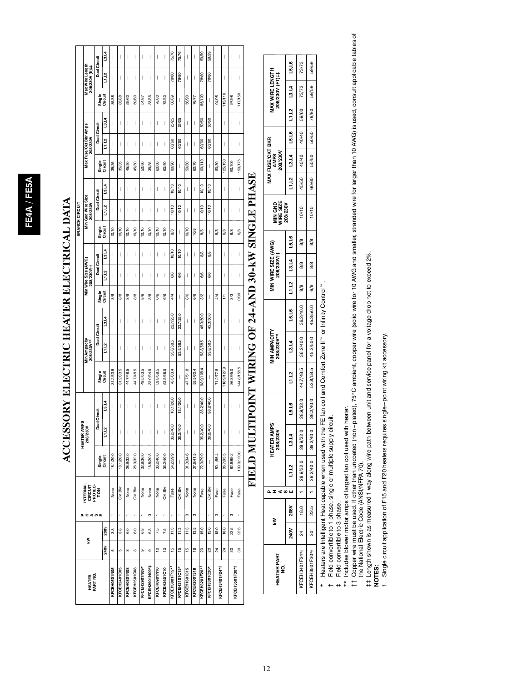|                                                  |                                              | Dual Circuit        | 13,14             | I              | I            | I              | I                        | I             | $\mid$         | $\overline{\phantom{a}}$ | $\overline{\phantom{a}}$ | 75/76          | 75/76                    | $\begin{array}{c} \hline \end{array}$ | $\overline{\phantom{a}}$ | 59/59          | 59/59                          | $\begin{array}{c} \end{array}$ | $\overline{\phantom{a}}$ | $\begin{array}{c} \hline \end{array}$ | $\begin{array}{c} \end{array}$ |
|--------------------------------------------------|----------------------------------------------|---------------------|-------------------|----------------|--------------|----------------|--------------------------|---------------|----------------|--------------------------|--------------------------|----------------|--------------------------|---------------------------------------|--------------------------|----------------|--------------------------------|--------------------------------|--------------------------|---------------------------------------|--------------------------------|
|                                                  | Max Wire Length<br>208/230V (ft)#            |                     | L1,L2             | I              | I            | I              | I                        | I             | I              | $\overline{\phantom{a}}$ | I                        | 78/80          | 78/80                    | $\begin{array}{c} \hline \end{array}$ | $\overline{\phantom{a}}$ | 78/80          | 78/80                          | $\begin{array}{c} \end{array}$ | $\overline{\phantom{a}}$ | $\begin{array}{c} \end{array}$        | $\begin{array}{c} \end{array}$ |
|                                                  |                                              | Single              | Circuit           | 85/88          | 85/88        | 59/60          | 59/60                    | 54/87         | 83/85          | 78/80                    | 78/80                    | 88/89          | $\overline{\phantom{a}}$ | 56/90                                 | 76/77                    | 85/109         | $\overline{\phantom{a}}$       | 94/95                          | 115/116                  | 97/98                                 | 117/150                        |
|                                                  |                                              |                     | 13,14             | I              | ı            | I              | $\overline{\phantom{a}}$ | I             | I              | I                        | I                        | 25/25          | 25/25                    | I                                     | I                        | 50/50          | 50/50                          | I                              | I                        | $\overline{\phantom{a}}$              | $\overline{\phantom{a}}$       |
|                                                  | Max Fuse/Ckt Bkr Amps<br>208/230V            | Dual Circuit        | L1,L2             | I              | I            | I              | I                        | I             | I              | I                        | I                        | 60/60          | 60/60                    | I                                     | I                        | 60/60          | 60/60                          | I                              | I                        | $\overline{\phantom{a}}$              | I                              |
|                                                  |                                              | Single              | Circuit           | 35/35          | 35/35        | 45/50          | 45/50                    | 50/60         | 35/35          | 60/60                    | 60/60                    | 80/90          | $\overline{\phantom{a}}$ | 50/60                                 | 60/70                    | 100/110        | $\overline{\phantom{a}}$       | 80/80                          | 125/150                  | 90/100                                | 150/175                        |
|                                                  |                                              |                     | 13,14             | I              | I            | I              | $\overline{\phantom{a}}$ | I             | I              | I                        | I                        | 10/10          | 10/10                    | I                                     | I                        | 10/10          | 10/10                          | I                              | I                        | $\overline{\phantom{a}}$              | $\begin{array}{c} \end{array}$ |
|                                                  | Min Gnd Wire Size<br>208/230V                | Dual Circuit        | L1, L2            | I              | I            | I              | I                        | $\mid$        | I              | I                        | I                        | 10/10          | 10/10                    | $\begin{array}{c} \end{array}$        | I                        | 10/10          | 10/10                          | $\begin{array}{c} \end{array}$ | I                        | $\begin{array}{c} \end{array}$        | $\mid$                         |
| BRANCH CIRCUIT                                   |                                              | Single<br>Circuit   |                   | 10/10          | 10/10        | 10/10          | 10/10                    | 10/10         | 10/10          | 10/10                    | 10/10                    | $\frac{8}{8}$  | $\overline{\phantom{a}}$ | 10/10                                 | 10/8                     | $\frac{8}{6}$  | $\overline{\phantom{a}}$       | $\frac{8}{6}$                  | 6/6                      | 8/8                                   | 6/6                            |
|                                                  |                                              |                     | 13,14             | I              | I            | I              | $\overline{\phantom{a}}$ | I             | I              | I                        | $\overline{\phantom{a}}$ | 10/10          | 10/10                    | $\overline{\phantom{a}}$              | I                        | 8/8            | 8/8                            | $\overline{\phantom{a}}$       | I                        | I                                     | $\begin{array}{c} \end{array}$ |
|                                                  | Min Wire Size (AWG)<br>208/230V <sup>+</sup> | <b>Dual Circuit</b> | L1,L2             | I              | ı            | I              | $\overline{\phantom{a}}$ | I             | I              | I                        | I                        | 6/6            | 6/6                      | $\overline{\phantom{a}}$              | I                        | 6/6            | 6/6                            | $\overline{\phantom{a}}$       | I                        | $\overline{\phantom{a}}$              | $\overline{\phantom{a}}$       |
|                                                  |                                              | Single              | Circuit           | 88             | 88           | 8/8            | 8/8                      | 8/6           | $\frac{8}{8}$  | 6/6                      | 6/6                      | 4/4            | $\overline{\phantom{a}}$ | 8/6                                   | 6/6                      | 3/2            | $\overline{\phantom{a}}$       | $\frac{4}{4}$                  | 5                        | 3/3                                   | 0/00                           |
|                                                  |                                              |                     | 13,14             | I              | I            | I              | $\overline{\phantom{a}}$ | I             | I              | I                        | I                        | 22.7/25.0      | 22.7/25.0                | $\overline{\phantom{a}}$              |                          | 45.3/50.0      | 45.3/50.0                      | I                              | I                        | I                                     | $\overline{\phantom{a}}$       |
|                                                  | Min Ampacity<br>208/230V**                   | Dual Circuit        | L1,L2             | I              | I            | I              | $\overline{\phantom{a}}$ | I             | I              | I                        | I                        | 53.8/58.5      | 53.8/58.5                | I                                     |                          | 53.8/58.5      | 53.8/58.5                      | I                              | I                        | $\overline{\phantom{a}}$              | $\overline{\phantom{a}}$       |
|                                                  |                                              | Single<br>Circuit   |                   | 31.2/33.5      | 31.2/33.5    | 44.7/48.5      | 44.7/48.5                | 49.5/53.5     | 32.0/34.5      | 53.8/58.5                | 53.8/58.5                | 76.3/83.4      | $\overline{\phantom{a}}$ | 47.7/51.8                             | 55.5/60.4                | 98.9/108.4     | $\begin{array}{c} \end{array}$ | 71.277.8                       | 116.9/127.9              | 86.8/95.0                             | 144.8/158.5                    |
|                                                  |                                              |                     | 13,14             | I              | I            | I              | I                        | $\mid$        | I              | I                        | $\overline{\phantom{a}}$ | 18.1/20.0      | 18.1/20.0                | $\begin{array}{c} \end{array}$        | I                        | 36.2/40.0      | 36.2/40.0                      | $\begin{array}{c} \end{array}$ | $\overline{\phantom{a}}$ | $\begin{array}{c} \end{array}$        | $\begin{array}{c} \end{array}$ |
|                                                  | HEATER AMPS<br>208/230V                      | <b>Dual Circuit</b> | Ľ<br>Ξ            |                |              |                |                          |               |                |                          |                          | 36.2/40.0      | 36.2/40.0                |                                       |                          | 36.2/40.0      | 36.2/40.0                      | J                              |                          |                                       |                                |
|                                                  |                                              |                     | Single<br>Circuit | 18.1/20.0      | 18.1/20.0    | 28.9/32.0      | 28.9/32.0                | 32.8/36.0     | 18.8/20.8      | 36.2/40.0                | 36.2/40.0                | 54.2/59.9      | $\overline{\phantom{a}}$ | 31.3/34.6                             | 37.6/41.5                | 72.3/79.9      | $\overline{\phantom{a}}$       | 50.1/55.4                      | 86.7/95.5                | 62.6/69.2                             | 109.0/120.0                    |
| <b>INTERNAL<br/>CIRCUIT<br/>PROTEC-<br/>TION</b> |                                              |                     | None              | <b>Ckt Bkr</b> | None         | <b>Ckt Bkr</b> | None                     | None          | None           | <b>Ckt Bkr</b>           | Fuse                     | <b>Ckt Bkr</b> | None                     | None                                  | Fuse                     | <b>Ckt Bkr</b> | Fuse                           | Fuse                           | Fuse                     | Fuse                                  |                                |
|                                                  | <b>エエ &lt; co w</b>                          |                     |                   |                |              |                |                          |               | ო              | ÷                        |                          |                | ÷                        | ø                                     | ø                        | ÷              |                                | ø                              | ÷                        | ø                                     | ÷                              |
|                                                  | ₹                                            |                     | 208v              | 3.8            | 3.8          | 6.0            | 6.0                      | 6.8           | 6.8            | 7.5                      | 7.5                      | 11.3           | 11.3                     | 11.3                                  | 13.5                     | 15.0           | 15.0                           | 18.0                           | 18.0                     | 22.5                                  | 22.5                           |
|                                                  |                                              |                     | 240v              | LO             | ю            | $\infty$       | $\infty$                 | o             | o              | ă                        | ē                        | 10             | 10                       | 15                                    | ٩B                       | 8              | S                              | ಸೆ                             | ಸ                        | 8                                     | 8                              |
|                                                  | <b>HEATER</b><br>PART NO.                    |                     |                   | KFCEH0501N05   | KFCEH2401C05 | KFCEH0801N08   | KFCEH2501C08             | KFCEH2901N09* | KFCEH2901N09*‡ | KFCEH0901N10             | KFCEH2601C10             | KFCEH3001F15*1 | KFCEH3101C15*            | <b>KFCEH1601315</b>                   | <b>KFCEH2001318</b>      | KFCEH3201F20*1 | KFCEH3301C20*                  | KFCEH3401F24*1                 |                          | KFCEH3501F30*1                        |                                |

## ACCESSORY ELECTRIC HEATER ELECTRICAL DATA **ACCESSORY ELECTRIC HEATER ELECTRICAL DATA**

# FIELD MULTIPOINT WIRING OF 24-AND 30-KW SINGLE PHASE **FIELD MULTIPOINT WIRING OF 24--AND 30--kW SINGLE PHASE**

| EATER PART<br>g                                     | ₹               |      | s<br>T<br>ď |                               | <b>IEATER AMPS</b><br>208/230V |              |           | IIN AMPACITY<br>208/230V** |          |     | IIN WIRE SIZE (AWG)<br>208/230V†† |               | MIN GND<br>WIRE SIZE |       | MAX FUSE/CKT BKR<br>AMPS<br>208/230V |       |       | <b>JIAX WIRE LENGTH<br/>208/230V (FT)#</b>    |       |
|-----------------------------------------------------|-----------------|------|-------------|-------------------------------|--------------------------------|--------------|-----------|----------------------------|----------|-----|-----------------------------------|---------------|----------------------|-------|--------------------------------------|-------|-------|-----------------------------------------------|-------|
|                                                     | 240V 208V       |      |             | L1,L2                         | L3.L4                          | <b>L5,L6</b> | L1,L2     | 13,14                      | 6_ار 15  |     | 11,12 3,14                        | 6_ا, قا       | 208/230V             |       |                                      |       |       | 91'97   13'74   19'19   11'75   13'17   13'19 |       |
| $\sqrt{24}$   24<br>$\sqrt{24}$   24<br>$\sqrt{24}$ |                 | 18.0 |             | $1 \t 28.9/32.0 \t 28.9/32.0$ |                                | 28.9/32.0    | 44.7/48.5 | 36.2/40.0                  | 362/40.0 | 8/8 | 8/8                               | $\frac{8}{8}$ | 10/10                | 45/50 | 40/40                                | 40/40 | 59/60 | 73/73                                         | 73/73 |
| KFCEH3501F30*1                                      | 30 <sub>o</sub> | 22.5 |             |                               |                                | 36.2/40.0    | 53.8/58.5 | 45.3/50.0 45.3/50.0        |          | 6/6 | 8/8                               | 8/8           | 10/10                | 60/60 | 50/50                                | 50/50 | 78/80 | 59/59                                         | 59/59 |
|                                                     |                 |      |             |                               |                                |              |           |                            |          |     |                                   |               |                      |       |                                      |       |       |                                               |       |

Heaters are Intelligent Heat capable when used with the FE fan coil and Comfort Zone II" or Infinity Control". \* Heaters are Intelligent Heat capable when used with the FE fan coil and Comfort Zone IIt or Infinity Controlt. ×

Field convertible to 1 phase, single or multiple supply circuit. Field convertible to 1 phase, single or multiple supply circuit.  $+$ 

Field convertible to 3 phase.

‡ Field convertible to 3 phase.<br>\*\* Includes blower motor amps of largest fan coil used with heater. \*\* Includes blower motor amps of largest fan coil used with heater.

tt Copper wire must be used. If other than uncoated (non-plated), 75°C ambient, copper wire (solid wire for 10 AWG and smaller, stranded wire for larger than 10 AWG) is used, consult applicable tables of<br>the National Elect  $\uparrow\uparrow$  Copper wire must be used. If other than uncoated (non-plated), 75°C ambient, copper wire (solid wire for 10 AWG and advised wire for larger than 10 AWG) is used, consult applicable tables of the National Electric Code (ANSI/NFPA 70).

}} Length shown is as measured 1 way along wire path between unit and service panel for a voltage drop not to exceed 2%.

**NOTES:**

1. Single circuit application of F15 and F20 heaters requires single-point wiring kit accessory. 1. Single circuit application of F15 and F20 heaters requires single ---point wiring kit accessory.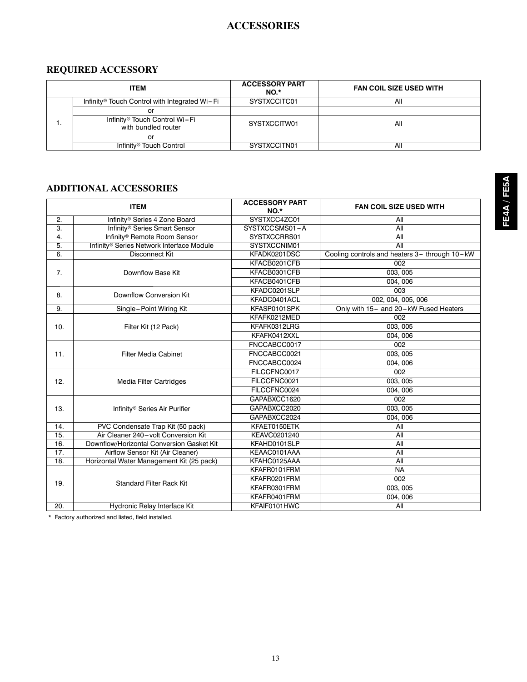## **ACCESSORIES**

## **REQUIRED ACCESSORY**

| <b>ITEM</b>                                               | <b>ACCESSORY PART</b><br>NO <sup>*</sup> | <b>FAN COIL SIZE USED WITH</b> |
|-----------------------------------------------------------|------------------------------------------|--------------------------------|
| Infinity <sup>®</sup> Touch Control with Integrated Wi-Fi | SYSTXCCITC01                             | All                            |
| or                                                        |                                          |                                |
| Infinity® Touch Control Wi-Fi<br>with bundled router      | SYSTXCCITW01                             | All                            |
| or                                                        |                                          |                                |
| Infinity <sup>®</sup> Touch Control                       | SYSTXCCITN01                             | All                            |

## **ADDITIONAL ACCESSORIES**

|     | <b>ITEM</b>                                           | <b>ACCESSORY PART</b><br>NO.* | <b>FAN COIL SIZE USED WITH</b>                |
|-----|-------------------------------------------------------|-------------------------------|-----------------------------------------------|
| 2.  | Infinity <sup>®</sup> Series 4 Zone Board             | SYSTXCC4ZC01                  | All                                           |
| 3.  | Infinity <sup>®</sup> Series Smart Sensor             | SYSTXCCSMS01-A                | All                                           |
| 4.  | Infinity® Remote Room Sensor                          | SYSTXCCRRS01                  | All                                           |
| 5.  | Infinity <sup>®</sup> Series Network Interface Module | SYSTXCCNIM01                  | All                                           |
| 6.  | <b>Disconnect Kit</b>                                 | KFADK0201DSC                  | Cooling controls and heaters 3- through 10-kW |
|     |                                                       | KFACB0201CFB                  | 002                                           |
| 7.  | Downflow Base Kit                                     | KFACB0301CFB                  | 003, 005                                      |
|     |                                                       | KFACB0401CFB                  | 004, 006                                      |
| 8.  | Downflow Conversion Kit                               | KFADC0201SLP                  | 003                                           |
|     |                                                       | KFADC0401ACL                  | 002, 004, 005, 006                            |
| 9.  | Single-Point Wiring Kit                               | KFASP0101SPK                  | Only with 15- and 20-kW Fused Heaters         |
|     |                                                       | KFAFK0212MED                  | 002                                           |
| 10. | Filter Kit (12 Pack)                                  | KFAFK0312LRG                  | 003, 005                                      |
|     |                                                       | KFAFK0412XXL                  | 004, 006                                      |
|     |                                                       | FNCCABCC0017                  | 002                                           |
| 11. | <b>Filter Media Cabinet</b>                           | FNCCABCC0021                  | 003, 005                                      |
|     |                                                       | FNCCABCC0024                  | 004, 006                                      |
|     |                                                       | FILCCFNC0017                  | 002                                           |
| 12. | <b>Media Filter Cartridges</b>                        | FILCCFNC0021                  | 003, 005                                      |
|     |                                                       | FILCCFNC0024                  | 004, 006                                      |
|     |                                                       | GAPABXCC1620                  | 002                                           |
| 13. | Infinity <sup>®</sup> Series Air Purifier             | GAPABXCC2020                  | 003,005                                       |
|     |                                                       | GAPABXCC2024                  | 004, 006                                      |
| 14. | PVC Condensate Trap Kit (50 pack)                     | KFAET0150ETK                  | All                                           |
| 15. | Air Cleaner 240-volt Conversion Kit                   | KEAVC0201240                  | <b>All</b>                                    |
| 16. | Downflow/Horizontal Conversion Gasket Kit             | KFAHD0101SLP                  | All                                           |
| 17. | Airflow Sensor Kit (Air Cleaner)                      | KEAAC0101AAA                  | All                                           |
| 18. | Horizontal Water Management Kit (25 pack)             | KFAHC0125AAA                  | All                                           |
|     |                                                       | KFAFR0101FRM                  | <b>NA</b>                                     |
| 19. | <b>Standard Filter Rack Kit</b>                       | KFAFR0201FRM                  | 002                                           |
|     |                                                       | KFAFR0301FRM                  | 003, 005                                      |
|     |                                                       | KFAFR0401FRM                  | 004, 006                                      |
| 20. | Hydronic Relay Interface Kit                          | KFAIF0101HWC                  | All                                           |

\* Factory authorized and listed, field installed.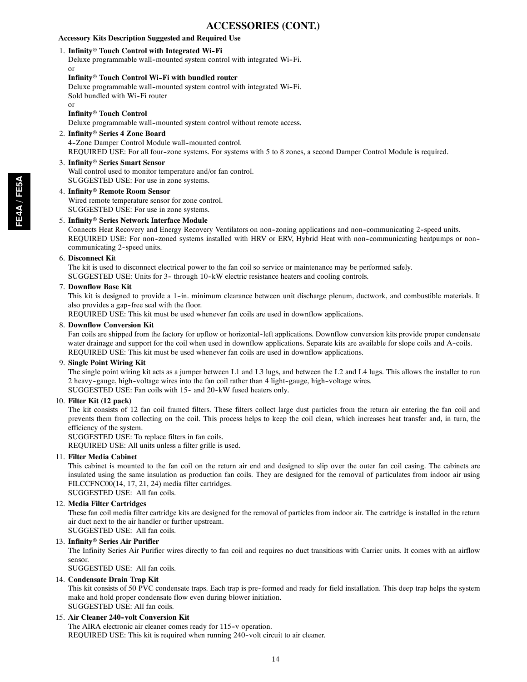## **ACCESSORIES (CONT.)**

## **Accessory Kits Description Suggested and Required Use**

## 1. Infinity<sup>®</sup> Touch Control with Integrated Wi-Fi

Deluxe programmable wall-mounted system control with integrated Wi-Fi. or

## **Infinity<sup>®</sup> Touch Control Wi-Fi with bundled router**

Deluxe programmable wall-mounted system control with integrated Wi-Fi. Sold bundled with Wi-Fi router or

## **Infinity<sup>®</sup> Touch Control**

Deluxe programmable wall-mounted system control without remote access.

## 2. **Infinity<sup>®</sup> Series 4 Zone Board** 4-Zone Damper Control Module wall-mounted control. REQUIRED USE: For all four-zone systems. For systems with 5 to 8 zones, a second Damper Control Module is required.

## 3. **Infinity<sup>®</sup> Series Smart Sensor**

Wall control used to monitor temperature and/or fan control. SUGGESTED USE: For use in zone systems.

## 4. **Infinity**r **Remote Room Sensor**

Wired remote temperature sensor for zone control. SUGGESTED USE: For use in zone systems.

## 5. Infinity<sup>®</sup> Series Network Interface Module

Connects Heat Recovery and Energy Recovery Ventilators on non--zoning applications and non--communicating 2--speed units. REQUIRED USE: For non-zoned systems installed with HRV or ERV, Hybrid Heat with non-communicating heatpumps or noncommunicating 2-speed units.

## 6. **Disconnect Ki**t

The kit is used to disconnect electrical power to the fan coil so service or maintenance may be performed safely. SUGGESTED USE: Units for 3- through 10-kW electric resistance heaters and cooling controls.

## 7. **Downflow Base Kit**

This kit is designed to provide a 1-in. minimum clearance between unit discharge plenum, ductwork, and combustible materials. It also provides a gap-free seal with the floor.

REQUIRED USE: This kit must be used whenever fan coils are used in downflow applications.

## 8. **Downflow Conversion Kit**

Fan coils are shipped from the factory for upflow or horizontal-left applications. Downflow conversion kits provide proper condensate water drainage and support for the coil when used in downflow applications. Separate kits are available for slope coils and A-coils. REQUIRED USE: This kit must be used whenever fan coils are used in downflow applications.

## 9. **Single Point Wiring Kit**

The single point wiring kit acts as a jumper between L1 and L3 lugs, and between the L2 and L4 lugs. This allows the installer to run 2 heavy-gauge, high-voltage wires into the fan coil rather than 4 light-gauge, high-voltage wires. SUGGESTED USE: Fan coils with 15- and 20-kW fused heaters only.

## 10. **Filter Kit (12 pack)**

The kit consists of 12 fan coil framed filters. These filters collect large dust particles from the return air entering the fan coil and prevents them from collecting on the coil. This process helps to keep the coil clean, which increases heat transfer and, in turn, the efficiency of the system.

SUGGESTED USE: To replace filters in fan coils.

REQUIRED USE: All units unless a filter grille is used.

## 11. **Filter Media Cabinet**

This cabinet is mounted to the fan coil on the return air end and designed to slip over the outer fan coil casing. The cabinets are insulated using the same insulation as production fan coils. They are designed for the removal of particulates from indoor air using FILCCFNC00(14, 17, 21, 24) media filter cartridges.

SUGGESTED USE: All fan coils.

## 12. **Media Filter Cartridges**

These fan coil media filter cartridge kits are designed for the removal of particles from indoor air. The cartridge is installed in the return air duct next to the air handler or further upstream. SUGGESTED USE: All fan coils.

## 13. **Infinity<sup>®</sup> Series Air Purifier**

The Infinity Series Air Purifier wires directly to fan coil and requires no duct transitions with Carrier units. It comes with an airflow sensor.

SUGGESTED USE: All fan coils.

## 14. **Condensate Drain Trap Kit**

This kit consists of 50 PVC condensate traps. Each trap is pre--formed and ready for field installation. This deep trap helps the system make and hold proper condensate flow even during blower initiation. SUGGESTED USE: All fan coils.

## 15. **Air Cleaner 240--volt Conversion Kit**

The AIRA electronic air cleaner comes ready for 115-v operation. REQUIRED USE: This kit is required when running 240-volt circuit to air cleaner.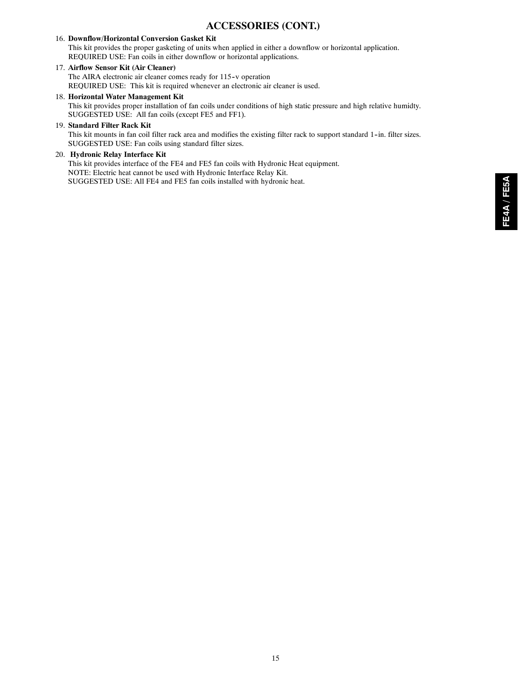## **ACCESSORIES (CONT.)**

## 16. **Downflow/Horizontal Conversion Gasket Kit**

This kit provides the proper gasketing of units when applied in either a downflow or horizontal application. REQUIRED USE: Fan coils in either downflow or horizontal applications.

## 17. **Airflow Sensor Kit (Air Cleaner)**

The AIRA electronic air cleaner comes ready for 115-v operation REQUIRED USE: This kit is required whenever an electronic air cleaner is used.

## 18. **Horizontal Water Management Kit**

This kit provides proper installation of fan coils under conditions of high static pressure and high relative humidty. SUGGESTED USE: All fan coils (except FE5 and FF1).

## 19. **Standard Filter Rack Kit**

This kit mounts in fan coil filter rack area and modifies the existing filter rack to support standard 1-in. filter sizes. SUGGESTED USE: Fan coils using standard filter sizes.

### 20. **Hydronic Relay Interface Kit**

This kit provides interface of the FE4 and FE5 fan coils with Hydronic Heat equipment. NOTE: Electric heat cannot be used with Hydronic Interface Relay Kit. SUGGESTED USE: All FE4 and FE5 fan coils installed with hydronic heat.